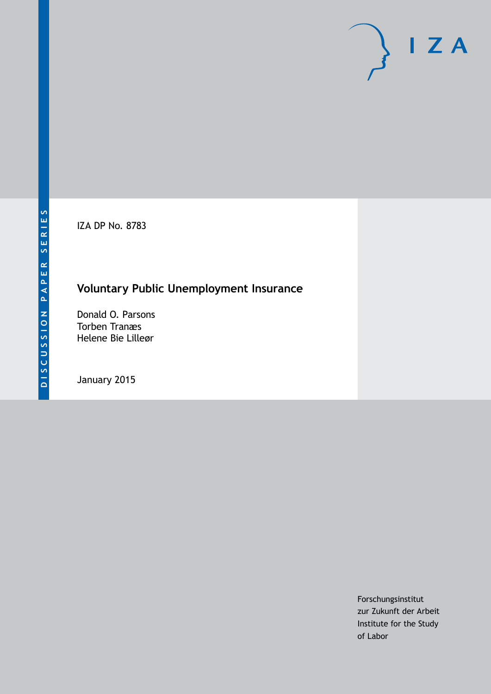IZA DP No. 8783

## **Voluntary Public Unemployment Insurance**

Donald O. Parsons Torben Tranæs Helene Bie Lilleør

January 2015

Forschungsinstitut zur Zukunft der Arbeit Institute for the Study of Labor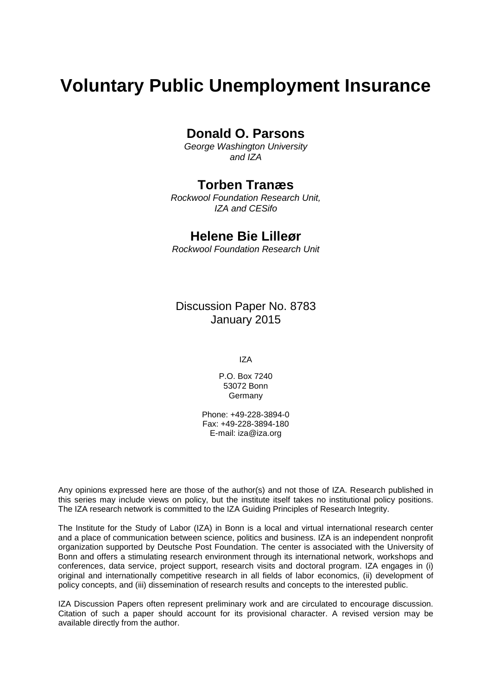# **Voluntary Public Unemployment Insurance**

## **Donald O. Parsons**

*George Washington University and IZA*

## **Torben Tranæs**

*Rockwool Foundation Research Unit, IZA and CESifo*

## **Helene Bie Lilleør**

*Rockwool Foundation Research Unit*

Discussion Paper No. 8783 January 2015

IZA

P.O. Box 7240 53072 Bonn Germany

Phone: +49-228-3894-0 Fax: +49-228-3894-180 E-mail: [iza@iza.org](mailto:iza@iza.org)

Any opinions expressed here are those of the author(s) and not those of IZA. Research published in this series may include views on policy, but the institute itself takes no institutional policy positions. The IZA research network is committed to the IZA Guiding Principles of Research Integrity.

<span id="page-1-0"></span>The Institute for the Study of Labor (IZA) in Bonn is a local and virtual international research center and a place of communication between science, politics and business. IZA is an independent nonprofit organization supported by Deutsche Post Foundation. The center is associated with the University of Bonn and offers a stimulating research environment through its international network, workshops and conferences, data service, project support, research visits and doctoral program. IZA engages in (i) original and internationally competitive research in all fields of labor economics, (ii) development of policy concepts, and (iii) dissemination of research results and concepts to the interested public.

IZA Discussion Papers often represent preliminary work and are circulated to encourage discussion. Citation of such a paper should account for its provisional character. A revised version may be available directly from the author.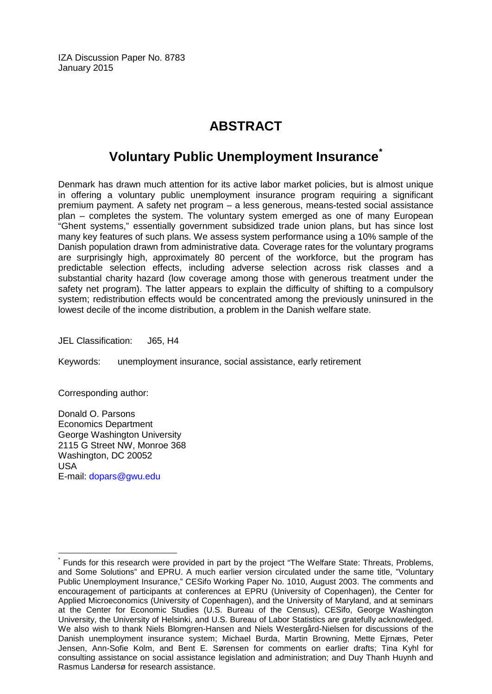IZA Discussion Paper No. 8783 January 2015

## **ABSTRACT**

## **Voluntary Public Unemployment Insurance[\\*](#page-1-0)**

Denmark has drawn much attention for its active labor market policies, but is almost unique in offering a voluntary public unemployment insurance program requiring a significant premium payment. A safety net program – a less generous, means-tested social assistance plan – completes the system. The voluntary system emerged as one of many European "Ghent systems," essentially government subsidized trade union plans, but has since lost many key features of such plans. We assess system performance using a 10% sample of the Danish population drawn from administrative data. Coverage rates for the voluntary programs are surprisingly high, approximately 80 percent of the workforce, but the program has predictable selection effects, including adverse selection across risk classes and a substantial charity hazard (low coverage among those with generous treatment under the safety net program). The latter appears to explain the difficulty of shifting to a compulsory system; redistribution effects would be concentrated among the previously uninsured in the lowest decile of the income distribution, a problem in the Danish welfare state.

JEL Classification: J65, H4

Keywords: unemployment insurance, social assistance, early retirement

Corresponding author:

Donald O. Parsons Economics Department George Washington University 2115 G Street NW, Monroe 368 Washington, DC 20052 USA E-mail: [dopars@gwu.edu](mailto:dopars@gwu.edu)

Funds for this research were provided in part by the project "The Welfare State: Threats, Problems, and Some Solutions" and EPRU. A much earlier version circulated under the same title, "Voluntary Public Unemployment Insurance," CESifo Working Paper No. 1010, August 2003. The comments and encouragement of participants at conferences at EPRU (University of Copenhagen), the Center for Applied Microeconomics (University of Copenhagen), and the University of Maryland, and at seminars at the Center for Economic Studies (U.S. Bureau of the Census), CESifo, George Washington University, the University of Helsinki, and U.S. Bureau of Labor Statistics are gratefully acknowledged. We also wish to thank Niels Blomgren-Hansen and Niels Westergård-Nielsen for discussions of the Danish unemployment insurance system; Michael Burda, Martin Browning, Mette Ejrnæs, Peter Jensen, Ann-Sofie Kolm, and Bent E. Sørensen for comments on earlier drafts; Tina Kyhl for consulting assistance on social assistance legislation and administration; and Duy Thanh Huynh and Rasmus Landersø for research assistance.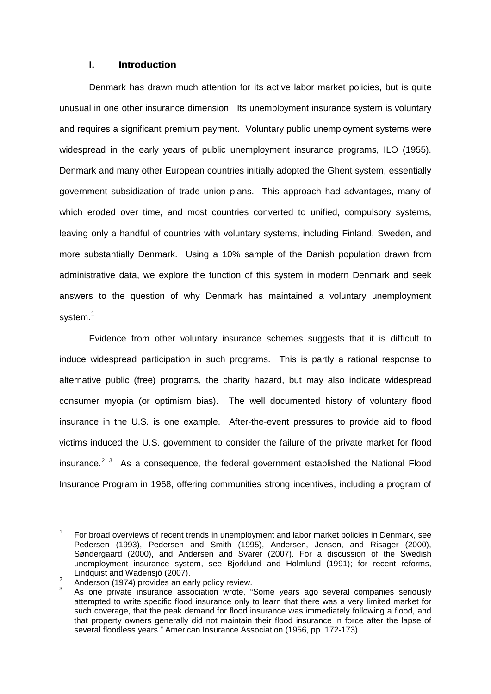#### **I. Introduction**

Denmark has drawn much attention for its active labor market policies, but is quite unusual in one other insurance dimension. Its unemployment insurance system is voluntary and requires a significant premium payment. Voluntary public unemployment systems were widespread in the early years of public unemployment insurance programs, ILO (1955). Denmark and many other European countries initially adopted the Ghent system, essentially government subsidization of trade union plans. This approach had advantages, many of which eroded over time, and most countries converted to unified, compulsory systems, leaving only a handful of countries with voluntary systems, including Finland, Sweden, and more substantially Denmark. Using a 10% sample of the Danish population drawn from administrative data, we explore the function of this system in modern Denmark and seek answers to the question of why Denmark has maintained a voluntary unemployment system.<sup>[1](#page-3-0)</sup>

Evidence from other voluntary insurance schemes suggests that it is difficult to induce widespread participation in such programs. This is partly a rational response to alternative public (free) programs, the charity hazard, but may also indicate widespread consumer myopia (or optimism bias). The well documented history of voluntary flood insurance in the U.S. is one example. After-the-event pressures to provide aid to flood victims induced the U.S. government to consider the failure of the private market for flood insurance.<sup>[2](#page-3-1) [3](#page-3-2)</sup> As a consequence, the federal government established the National Flood Insurance Program in 1968, offering communities strong incentives, including a program of

<span id="page-3-0"></span><sup>1</sup> For broad overviews of recent trends in unemployment and labor market policies in Denmark, see Pedersen (1993), Pedersen and Smith (1995), Andersen, Jensen, and Risager (2000), Søndergaard (2000), and Andersen and Svarer (2007). For a discussion of the Swedish unemployment insurance system, see Bjorklund and Holmlund (1991); for recent reforms, Lindquist and Wadensjö (2007).<br><sup>2</sup> Anderson (1974) provides an early policy review.

<span id="page-3-2"></span><span id="page-3-1"></span>

As one private insurance association wrote, "Some years ago several companies seriously attempted to write specific flood insurance only to learn that there was a very limited market for such coverage, that the peak demand for flood insurance was immediately following a flood, and that property owners generally did not maintain their flood insurance in force after the lapse of several floodless years." American Insurance Association (1956, pp. 172-173).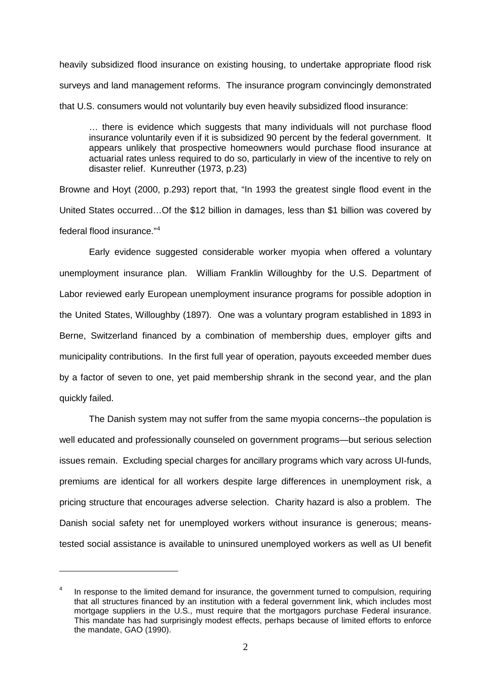heavily subsidized flood insurance on existing housing, to undertake appropriate flood risk surveys and land management reforms. The insurance program convincingly demonstrated that U.S. consumers would not voluntarily buy even heavily subsidized flood insurance:

… there is evidence which suggests that many individuals will not purchase flood insurance voluntarily even if it is subsidized 90 percent by the federal government. It appears unlikely that prospective homeowners would purchase flood insurance at actuarial rates unless required to do so, particularly in view of the incentive to rely on disaster relief. Kunreuther (1973, p.23)

Browne and Hoyt (2000, p.293) report that, "In 1993 the greatest single flood event in the United States occurred…Of the \$12 billion in damages, less than \$1 billion was covered by federal flood insurance."[4](#page-4-0)

Early evidence suggested considerable worker myopia when offered a voluntary unemployment insurance plan. William Franklin Willoughby for the U.S. Department of Labor reviewed early European unemployment insurance programs for possible adoption in the United States, Willoughby (1897). One was a voluntary program established in 1893 in Berne, Switzerland financed by a combination of membership dues, employer gifts and municipality contributions. In the first full year of operation, payouts exceeded member dues by a factor of seven to one, yet paid membership shrank in the second year, and the plan quickly failed.

The Danish system may not suffer from the same myopia concerns--the population is well educated and professionally counseled on government programs—but serious selection issues remain. Excluding special charges for ancillary programs which vary across UI-funds, premiums are identical for all workers despite large differences in unemployment risk, a pricing structure that encourages adverse selection. Charity hazard is also a problem. The Danish social safety net for unemployed workers without insurance is generous; meanstested social assistance is available to uninsured unemployed workers as well as UI benefit

<span id="page-4-0"></span>In response to the limited demand for insurance, the government turned to compulsion, requiring that all structures financed by an institution with a federal government link, which includes most mortgage suppliers in the U.S., must require that the mortgagors purchase Federal insurance. This mandate has had surprisingly modest effects, perhaps because of limited efforts to enforce the mandate, GAO (1990).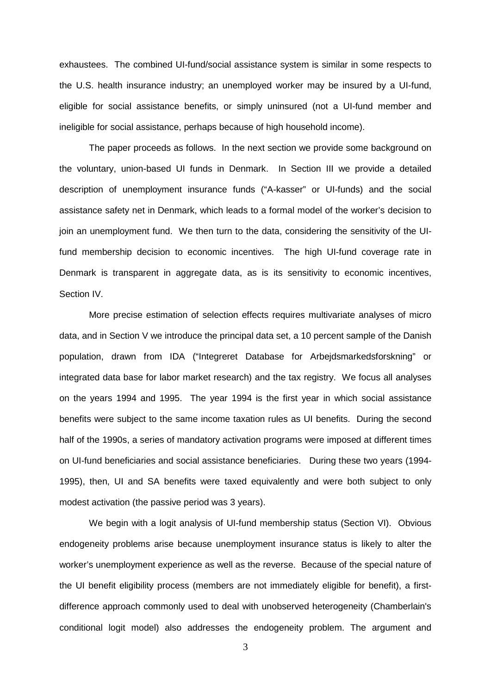exhaustees. The combined UI-fund/social assistance system is similar in some respects to the U.S. health insurance industry; an unemployed worker may be insured by a UI-fund, eligible for social assistance benefits, or simply uninsured (not a UI-fund member and ineligible for social assistance, perhaps because of high household income).

The paper proceeds as follows. In the next section we provide some background on the voluntary, union-based UI funds in Denmark. In Section III we provide a detailed description of unemployment insurance funds ("A-kasser" or UI-funds) and the social assistance safety net in Denmark, which leads to a formal model of the worker's decision to join an unemployment fund. We then turn to the data, considering the sensitivity of the UIfund membership decision to economic incentives. The high UI-fund coverage rate in Denmark is transparent in aggregate data, as is its sensitivity to economic incentives, Section IV.

More precise estimation of selection effects requires multivariate analyses of micro data, and in Section V we introduce the principal data set, a 10 percent sample of the Danish population, drawn from IDA ("Integreret Database for Arbejdsmarkedsforskning" or integrated data base for labor market research) and the tax registry. We focus all analyses on the years 1994 and 1995. The year 1994 is the first year in which social assistance benefits were subject to the same income taxation rules as UI benefits. During the second half of the 1990s, a series of mandatory activation programs were imposed at different times on UI-fund beneficiaries and social assistance beneficiaries. During these two years (1994- 1995), then, UI and SA benefits were taxed equivalently and were both subject to only modest activation (the passive period was 3 years).

We begin with a logit analysis of UI-fund membership status (Section VI). Obvious endogeneity problems arise because unemployment insurance status is likely to alter the worker's unemployment experience as well as the reverse. Because of the special nature of the UI benefit eligibility process (members are not immediately eligible for benefit), a firstdifference approach commonly used to deal with unobserved heterogeneity (Chamberlain's conditional logit model) also addresses the endogeneity problem. The argument and

3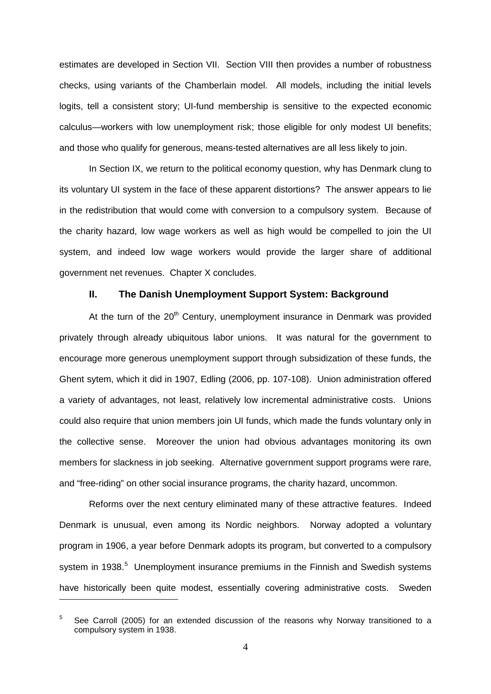estimates are developed in Section VII. Section VIII then provides a number of robustness checks, using variants of the Chamberlain model. All models, including the initial levels logits, tell a consistent story; UI-fund membership is sensitive to the expected economic calculus—workers with low unemployment risk; those eligible for only modest UI benefits; and those who qualify for generous, means-tested alternatives are all less likely to join.

In Section IX, we return to the political economy question, why has Denmark clung to its voluntary UI system in the face of these apparent distortions? The answer appears to lie in the redistribution that would come with conversion to a compulsory system. Because of the charity hazard, low wage workers as well as high would be compelled to join the UI system, and indeed low wage workers would provide the larger share of additional government net revenues. Chapter X concludes.

#### **II. The Danish Unemployment Support System: Background**

At the turn of the  $20<sup>th</sup>$  Century, unemployment insurance in Denmark was provided privately through already ubiquitous labor unions. It was natural for the government to encourage more generous unemployment support through subsidization of these funds, the Ghent sytem, which it did in 1907, Edling (2006, pp. 107-108). Union administration offered a variety of advantages, not least, relatively low incremental administrative costs. Unions could also require that union members join UI funds, which made the funds voluntary only in the collective sense. Moreover the union had obvious advantages monitoring its own members for slackness in job seeking. Alternative government support programs were rare, and "free-riding" on other social insurance programs, the charity hazard, uncommon.

Reforms over the next century eliminated many of these attractive features. Indeed Denmark is unusual, even among its Nordic neighbors. Norway adopted a voluntary program in 1906, a year before Denmark adopts its program, but converted to a compulsory system in 1938.<sup>[5](#page-6-0)</sup> Unemployment insurance premiums in the Finnish and Swedish systems have historically been quite modest, essentially covering administrative costs. Sweden

<span id="page-6-0"></span> $5$  See Carroll (2005) for an extended discussion of the reasons why Norway transitioned to a compulsory system in 1938.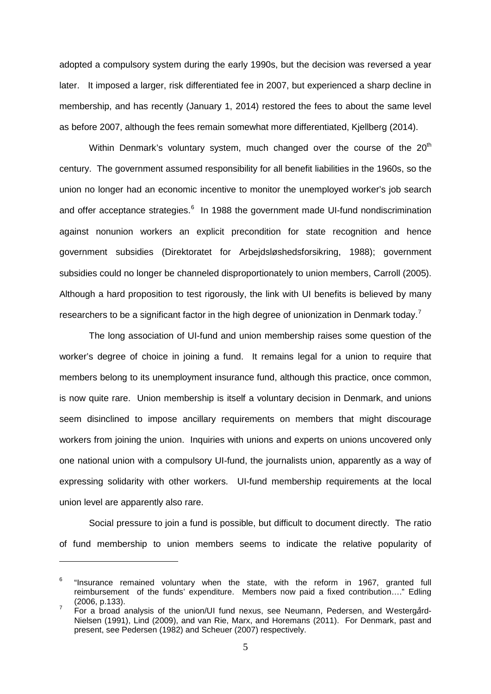adopted a compulsory system during the early 1990s, but the decision was reversed a year later. It imposed a larger, risk differentiated fee in 2007, but experienced a sharp decline in membership, and has recently (January 1, 2014) restored the fees to about the same level as before 2007, although the fees remain somewhat more differentiated, Kjellberg (2014).

Within Denmark's voluntary system, much changed over the course of the 20<sup>th</sup> century. The government assumed responsibility for all benefit liabilities in the 1960s, so the union no longer had an economic incentive to monitor the unemployed worker's job search and offer acceptance strategies.<sup>[6](#page-7-0)</sup> In 1988 the government made UI-fund nondiscrimination against nonunion workers an explicit precondition for state recognition and hence government subsidies (Direktoratet for Arbejdsløshedsforsikring, 1988); government subsidies could no longer be channeled disproportionately to union members, Carroll (2005). Although a hard proposition to test rigorously, the link with UI benefits is believed by many researchers to be a significant factor in the high degree of unionization in Denmark today.<sup>[7](#page-7-1)</sup>

The long association of UI-fund and union membership raises some question of the worker's degree of choice in joining a fund. It remains legal for a union to require that members belong to its unemployment insurance fund, although this practice, once common, is now quite rare. Union membership is itself a voluntary decision in Denmark, and unions seem disinclined to impose ancillary requirements on members that might discourage workers from joining the union. Inquiries with unions and experts on unions uncovered only one national union with a compulsory UI-fund, the journalists union, apparently as a way of expressing solidarity with other workers. UI-fund membership requirements at the local union level are apparently also rare.

Social pressure to join a fund is possible, but difficult to document directly. The ratio of fund membership to union members seems to indicate the relative popularity of

<span id="page-7-0"></span> $6$  "Insurance remained voluntary when the state, with the reform in 1967, granted full reimbursement of the funds' expenditure. Members now paid a fixed contribution...." Edling (2006, p.133).

<span id="page-7-1"></span><sup>(2006,</sup> p.133). 7 For a broad analysis of the union/UI fund nexus, see Neumann, Pedersen, and Westerg*å*rd-Nielsen (1991), Lind (2009), and van Rie, Marx, and Horemans (2011). For Denmark, past and present, see Pedersen (1982) and Scheuer (2007) respectively.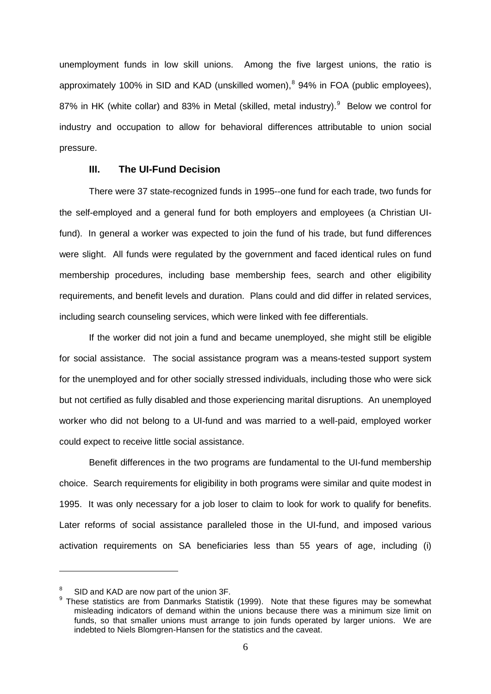unemployment funds in low skill unions. Among the five largest unions, the ratio is approximately 100% in SID and KAD (unskilled women), $8$  94% in FOA (public employees), 87% in HK (white collar) and 83% in Metal (skilled, metal industry).<sup>[9](#page-8-1)</sup> Below we control for industry and occupation to allow for behavioral differences attributable to union social pressure.

#### **III. The UI-Fund Decision**

There were 37 state-recognized funds in 1995--one fund for each trade, two funds for the self-employed and a general fund for both employers and employees (a Christian UIfund). In general a worker was expected to join the fund of his trade, but fund differences were slight. All funds were regulated by the government and faced identical rules on fund membership procedures, including base membership fees, search and other eligibility requirements, and benefit levels and duration. Plans could and did differ in related services, including search counseling services, which were linked with fee differentials.

If the worker did not join a fund and became unemployed, she might still be eligible for social assistance. The social assistance program was a means-tested support system for the unemployed and for other socially stressed individuals, including those who were sick but not certified as fully disabled and those experiencing marital disruptions. An unemployed worker who did not belong to a UI-fund and was married to a well-paid, employed worker could expect to receive little social assistance.

Benefit differences in the two programs are fundamental to the UI-fund membership choice. Search requirements for eligibility in both programs were similar and quite modest in 1995. It was only necessary for a job loser to claim to look for work to qualify for benefits. Later reforms of social assistance paralleled those in the UI-fund, and imposed various activation requirements on SA beneficiaries less than 55 years of age, including (i)

<sup>8</sup>

<span id="page-8-1"></span><span id="page-8-0"></span> $^8$  SID and KAD are now part of the union 3F.<br><sup>9</sup> These statistics are from Danmarks Statistik (1999). Note that these figures may be somewhat misleading indicators of demand within the unions because there was a minimum size limit on funds, so that smaller unions must arrange to join funds operated by larger unions. We are indebted to Niels Blomgren-Hansen for the statistics and the caveat.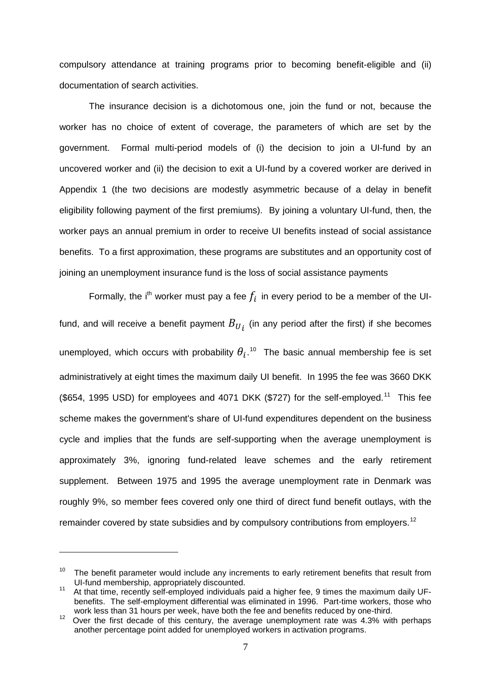compulsory attendance at training programs prior to becoming benefit-eligible and (ii) documentation of search activities.

The insurance decision is a dichotomous one, join the fund or not, because the worker has no choice of extent of coverage, the parameters of which are set by the government. Formal multi-period models of (i) the decision to join a UI-fund by an uncovered worker and (ii) the decision to exit a UI-fund by a covered worker are derived in Appendix 1 (the two decisions are modestly asymmetric because of a delay in benefit eligibility following payment of the first premiums). By joining a voluntary UI-fund, then, the worker pays an annual premium in order to receive UI benefits instead of social assistance benefits. To a first approximation, these programs are substitutes and an opportunity cost of joining an unemployment insurance fund is the loss of social assistance payments

Formally, the i<sup>th</sup> worker must pay a fee  $f_i$  in every period to be a member of the UIfund, and will receive a benefit payment  $B_{U_i}$  (in any period after the first) if she becomes unemployed, which occurs with probability  $\theta_i$ .<sup>10</sup> The basic annual membership fee is set administratively at eight times the maximum daily UI benefit. In 1995 the fee was 3660 DKK (\$654, 1995 USD) for employees and 4071 DKK (\$727) for the self-employed.<sup>11</sup> This fee scheme makes the government's share of UI-fund expenditures dependent on the business cycle and implies that the funds are self-supporting when the average unemployment is approximately 3%, ignoring fund-related leave schemes and the early retirement supplement. Between 1975 and 1995 the average unemployment rate in Denmark was roughly 9%, so member fees covered only one third of direct fund benefit outlays, with the remainder covered by state subsidies and by compulsory contributions from employers.<sup>[12](#page-9-2)</sup>

<span id="page-9-0"></span><sup>&</sup>lt;sup>10</sup> The benefit parameter would include any increments to early retirement benefits that result from UI-fund membership, appropriately discounted.

<span id="page-9-1"></span>UI-fund membership, appropriately discounted. 11 At that time, recently self-employed individuals paid a higher fee, 9 times the maximum daily UFbenefits. The self-employment differential was eliminated in 1996. Part-time workers, those who work less than 31 hours per week, have both the fee and benefits reduced by one-third.

<span id="page-9-2"></span>Over the first decade of this century, the average unemployment rate was 4.3% with perhaps another percentage point added for unemployed workers in activation programs.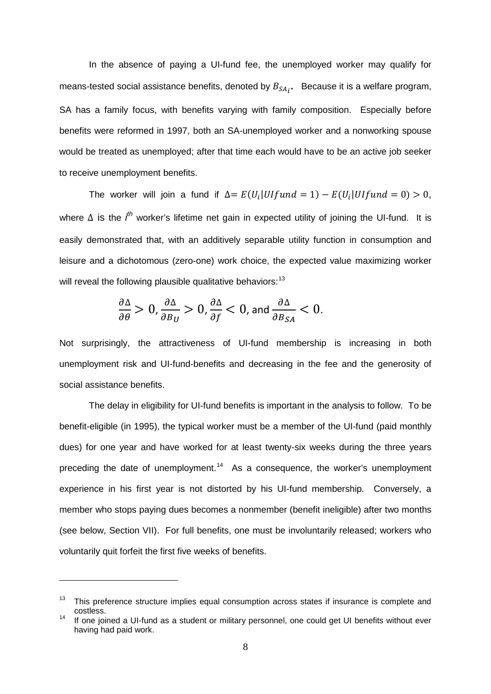In the absence of paying a UI-fund fee, the unemployed worker may qualify for means-tested social assistance benefits, denoted by  $B_{SA}$ .  $\;$  Because it is a welfare program, SA has a family focus, with benefits varying with family composition. Especially before benefits were reformed in 1997, both an SA-unemployed worker and a nonworking spouse would be treated as unemployed; after that time each would have to be an active job seeker to receive unemployment benefits.

The worker will join a fund if  $\Delta = E(U_i|U)fund = 1) - E(U_i|U)fund = 0) > 0$ , where ∆ is the *i<sup>th</sup>* worker's lifetime net gain in expected utility of joining the UI-fund. It is easily demonstrated that, with an additively separable utility function in consumption and leisure and a dichotomous (zero-one) work choice, the expected value maximizing worker will reveal the following plausible qualitative behaviors:<sup>[13](#page-10-0)</sup>

$$
\frac{\partial \Delta}{\partial \theta} > 0, \frac{\partial \Delta}{\partial B_U} > 0, \frac{\partial \Delta}{\partial f} < 0, \text{ and } \frac{\partial \Delta}{\partial B_{SA}} < 0.
$$

Not surprisingly, the attractiveness of UI-fund membership is increasing in both unemployment risk and UI-fund-benefits and decreasing in the fee and the generosity of social assistance benefits.

The delay in eligibility for UI-fund benefits is important in the analysis to follow. To be benefit-eligible (in 1995), the typical worker must be a member of the UI-fund (paid monthly dues) for one year and have worked for at least twenty-six weeks during the three years preceding the date of unemployment.<sup>14</sup> As a consequence, the worker's unemployment experience in his first year is not distorted by his UI-fund membership. Conversely, a member who stops paying dues becomes a nonmember (benefit ineligible) after two months (see below, Section VII). For full benefits, one must be involuntarily released; workers who voluntarily quit forfeit the first five weeks of benefits.

<span id="page-10-0"></span>This preference structure implies equal consumption across states if insurance is complete and costless.

<span id="page-10-1"></span>If one joined a UI-fund as a student or military personnel, one could get UI benefits without ever having had paid work.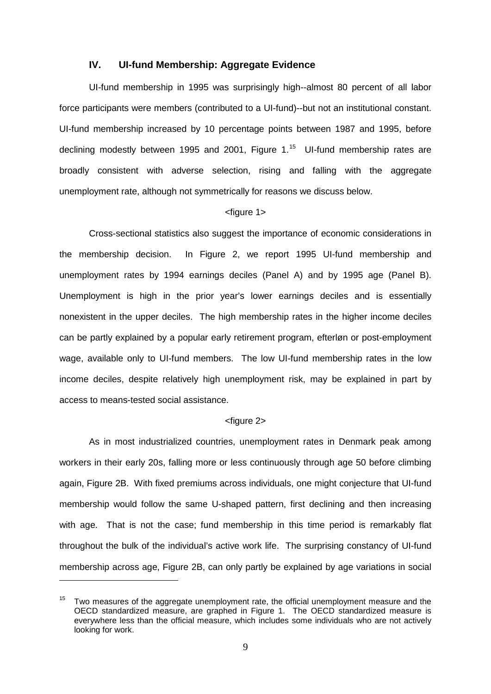#### **IV. UI-fund Membership: Aggregate Evidence**

UI-fund membership in 1995 was surprisingly high--almost 80 percent of all labor force participants were members (contributed to a UI-fund)--but not an institutional constant. UI-fund membership increased by 10 percentage points between 1987 and 1995, before declining modestly between 1995 and 2001, Figure 1. [15](#page-11-0) UI-fund membership rates are broadly consistent with adverse selection, rising and falling with the aggregate unemployment rate, although not symmetrically for reasons we discuss below.

#### <figure 1>

Cross-sectional statistics also suggest the importance of economic considerations in the membership decision. In Figure 2, we report 1995 UI-fund membership and unemployment rates by 1994 earnings deciles (Panel A) and by 1995 age (Panel B). Unemployment is high in the prior year's lower earnings deciles and is essentially nonexistent in the upper deciles. The high membership rates in the higher income deciles can be partly explained by a popular early retirement program, efterløn or post-employment wage, available only to UI-fund members. The low UI-fund membership rates in the low income deciles, despite relatively high unemployment risk, may be explained in part by access to means-tested social assistance.

#### <figure 2>

As in most industrialized countries, unemployment rates in Denmark peak among workers in their early 20s, falling more or less continuously through age 50 before climbing again, Figure 2B. With fixed premiums across individuals, one might conjecture that UI-fund membership would follow the same U-shaped pattern, first declining and then increasing with age. That is not the case; fund membership in this time period is remarkably flat throughout the bulk of the individual's active work life. The surprising constancy of UI-fund membership across age, Figure 2B, can only partly be explained by age variations in social

<span id="page-11-0"></span> $15$  Two measures of the aggregate unemployment rate, the official unemployment measure and the OECD standardized measure, are graphed in Figure 1. The OECD standardized measure is everywhere less than the official measure, which includes some individuals who are not actively looking for work.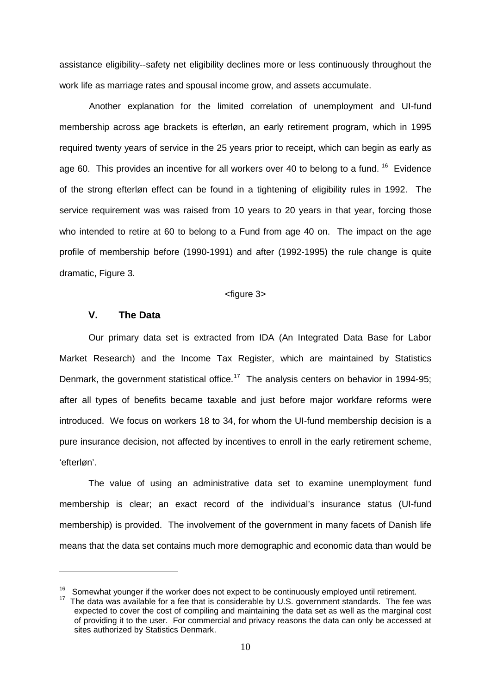assistance eligibility--safety net eligibility declines more or less continuously throughout the work life as marriage rates and spousal income grow, and assets accumulate.

Another explanation for the limited correlation of unemployment and UI-fund membership across age brackets is efterløn, an early retirement program, which in 1995 required twenty years of service in the 25 years prior to receipt, which can begin as early as age 60. This provides an incentive for all workers over 40 to belong to a fund. <sup>16</sup> Evidence of the strong efterløn effect can be found in a tightening of eligibility rules in 1992. The service requirement was was raised from 10 years to 20 years in that year, forcing those who intended to retire at 60 to belong to a Fund from age 40 on. The impact on the age profile of membership before (1990-1991) and after (1992-1995) the rule change is quite dramatic, Figure 3.

<figure 3>

#### **V. The Data**

-

Our primary data set is extracted from IDA (An Integrated Data Base for Labor Market Research) and the Income Tax Register, which are maintained by Statistics Denmark, the government statistical office.<sup>[17](#page-12-1)</sup> The analysis centers on behavior in 1994-95; after all types of benefits became taxable and just before major workfare reforms were introduced. We focus on workers 18 to 34, for whom the UI-fund membership decision is a pure insurance decision, not affected by incentives to enroll in the early retirement scheme, 'efterløn'.

The value of using an administrative data set to examine unemployment fund membership is clear; an exact record of the individual's insurance status (UI-fund membership) is provided. The involvement of the government in many facets of Danish life means that the data set contains much more demographic and economic data than would be

<span id="page-12-1"></span><span id="page-12-0"></span><sup>&</sup>lt;sup>16</sup> Somewhat younger if the worker does not expect to be continuously employed until retirement.<br><sup>17</sup> The data was available for a fee that is considerable by U.S. government standards. The fee was

expected to cover the cost of compiling and maintaining the data set as well as the marginal cost of providing it to the user. For commercial and privacy reasons the data can only be accessed at sites authorized by Statistics Denmark.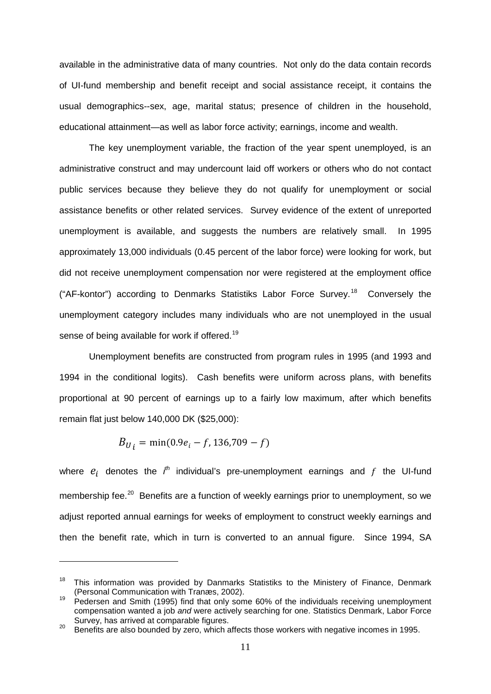available in the administrative data of many countries. Not only do the data contain records of UI-fund membership and benefit receipt and social assistance receipt, it contains the usual demographics--sex, age, marital status; presence of children in the household, educational attainment—as well as labor force activity; earnings, income and wealth.

The key unemployment variable, the fraction of the year spent unemployed, is an administrative construct and may undercount laid off workers or others who do not contact public services because they believe they do not qualify for unemployment or social assistance benefits or other related services. Survey evidence of the extent of unreported unemployment is available, and suggests the numbers are relatively small. In 1995 approximately 13,000 individuals (0.45 percent of the labor force) were looking for work, but did not receive unemployment compensation nor were registered at the employment office ("AF-kontor") according to Denmarks Statistiks Labor Force Survey.<sup>[18](#page-13-0)</sup> Conversely the unemployment category includes many individuals who are not unemployed in the usual sense of being available for work if offered.<sup>[19](#page-13-1)</sup>

Unemployment benefits are constructed from program rules in 1995 (and 1993 and 1994 in the conditional logits). Cash benefits were uniform across plans, with benefits proportional at 90 percent of earnings up to a fairly low maximum, after which benefits remain flat just below 140,000 DK (\$25,000):

$$
B_{U_i} = \min(0.9e_i - f, 136, 709 - f)
$$

-

where  $e_i$  denotes the  $i^h$  individual's pre-unemployment earnings and  $f$  the UI-fund membership fee.<sup>[20](#page-13-2)</sup> Benefits are a function of weekly earnings prior to unemployment, so we adjust reported annual earnings for weeks of employment to construct weekly earnings and then the benefit rate, which in turn is converted to an annual figure. Since 1994, SA

<span id="page-13-0"></span><sup>&</sup>lt;sup>18</sup> This information was provided by Danmarks Statistiks to the Ministery of Finance, Denmark (Personal Communication with Tranæs, 2002).

<span id="page-13-1"></span><sup>&</sup>lt;sup>19</sup> Pedersen and Smith (1995) find that only some 60% of the individuals receiving unemployment compensation wanted a job *and* were actively searching for one. Statistics Denmark, Labor Force

<span id="page-13-2"></span><sup>&</sup>lt;sup>20</sup> Benefits are also bounded by zero, which affects those workers with negative incomes in 1995.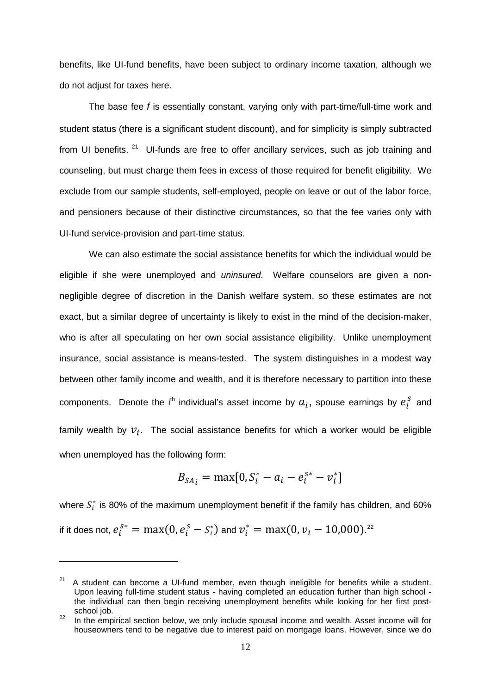benefits, like UI-fund benefits, have been subject to ordinary income taxation, although we do not adjust for taxes here.

The base fee *f* is essentially constant, varying only with part-time/full-time work and student status (there is a significant student discount), and for simplicity is simply subtracted from UI benefits.  $21$  UI-funds are free to offer ancillary services, such as job training and counseling, but must charge them fees in excess of those required for benefit eligibility. We exclude from our sample students, self-employed, people on leave or out of the labor force, and pensioners because of their distinctive circumstances, so that the fee varies only with UI-fund service-provision and part-time status.

We can also estimate the social assistance benefits for which the individual would be eligible if she were unemployed and *uninsured*. Welfare counselors are given a nonnegligible degree of discretion in the Danish welfare system, so these estimates are not exact, but a similar degree of uncertainty is likely to exist in the mind of the decision-maker, who is after all speculating on her own social assistance eligibility. Unlike unemployment insurance, social assistance is means-tested. The system distinguishes in a modest way between other family income and wealth, and it is therefore necessary to partition into these components. Denote the i<sup>th</sup> individual's asset income by  $a_i$ , spouse earnings by  $e_i^s$  and family wealth by  $v_i$ . The social assistance benefits for which a worker would be eligible when unemployed has the following form:

$$
B_{SA_i} = \max[0, S_i^* - a_i - e_i^{S^*} - v_i^*]
$$

where  $S_i^*$  is 80% of the maximum unemployment benefit if the family has children, and 60% if it does not,  $e_i^{S^*} = \max(0, e_i^S - S_i^*)$  and  $v_i^* = \max(0, v_i - 10,000)^{22}$  $v_i^* = \max(0, v_i - 10,000)^{22}$  $v_i^* = \max(0, v_i - 10,000)^{22}$ 

<span id="page-14-0"></span> $21$  A student can become a UI-fund member, even though ineligible for benefits while a student. Upon leaving full-time student status - having completed an education further than high school the individual can then begin receiving unemployment benefits while looking for her first postschool job.<br><sup>22</sup> In the empirical section below, we only include spousal income and wealth. Asset income will for

<span id="page-14-1"></span>houseowners tend to be negative due to interest paid on mortgage loans. However, since we do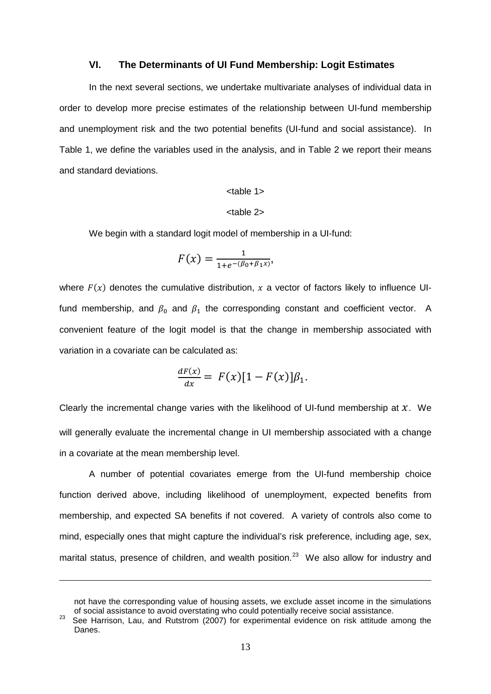#### **VI. The Determinants of UI Fund Membership: Logit Estimates**

In the next several sections, we undertake multivariate analyses of individual data in order to develop more precise estimates of the relationship between UI-fund membership and unemployment risk and the two potential benefits (UI-fund and social assistance). In Table 1, we define the variables used in the analysis, and in Table 2 we report their means and standard deviations.

#### <table 1>

#### <table 2>

We begin with a standard logit model of membership in a UI-fund:

$$
F(x) = \frac{1}{1 + e^{-(\beta_0 + \beta_1 x)}},
$$

where  $F(x)$  denotes the cumulative distribution, x a vector of factors likely to influence UIfund membership, and  $\beta_0$  and  $\beta_1$  the corresponding constant and coefficient vector. A convenient feature of the logit model is that the change in membership associated with variation in a covariate can be calculated as:

$$
\frac{dF(x)}{dx} = F(x)[1 - F(x)]\beta_1.
$$

Clearly the incremental change varies with the likelihood of UI-fund membership at  $x$ . We will generally evaluate the incremental change in UI membership associated with a change in a covariate at the mean membership level.

A number of potential covariates emerge from the UI-fund membership choice function derived above, including likelihood of unemployment, expected benefits from membership, and expected SA benefits if not covered. A variety of controls also come to mind, especially ones that might capture the individual's risk preference, including age, sex, marital status, presence of children, and wealth position.<sup>[23](#page-15-0)</sup> We also allow for industry and

not have the corresponding value of housing assets, we exclude asset income in the simulations of social assistance to avoid overstating who could potentially receive social assistance.

<span id="page-15-0"></span>See Harrison, Lau, and Rutstrom (2007) for experimental evidence on risk attitude among the Danes.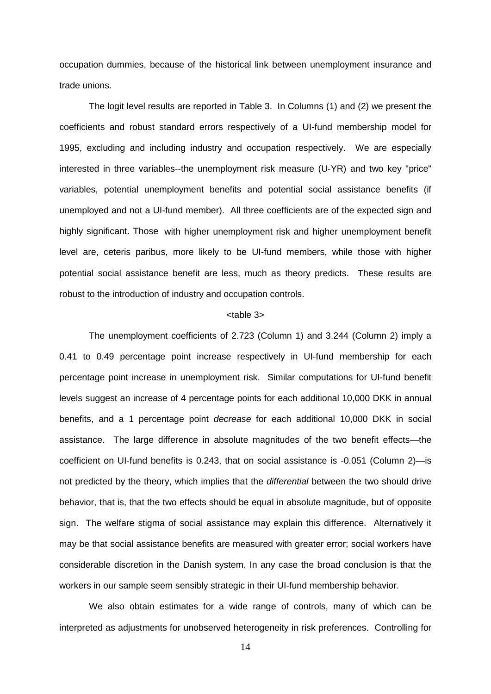occupation dummies, because of the historical link between unemployment insurance and trade unions.

The logit level results are reported in Table 3. In Columns (1) and (2) we present the coefficients and robust standard errors respectively of a UI-fund membership model for 1995, excluding and including industry and occupation respectively. We are especially interested in three variables--the unemployment risk measure (U-YR) and two key "price" variables, potential unemployment benefits and potential social assistance benefits (if unemployed and not a UI-fund member). All three coefficients are of the expected sign and highly significant. Those with higher unemployment risk and higher unemployment benefit level are, ceteris paribus, more likely to be UI-fund members, while those with higher potential social assistance benefit are less, much as theory predicts. These results are robust to the introduction of industry and occupation controls.

#### <table 3>

The unemployment coefficients of 2.723 (Column 1) and 3.244 (Column 2) imply a 0.41 to 0.49 percentage point increase respectively in UI-fund membership for each percentage point increase in unemployment risk. Similar computations for UI-fund benefit levels suggest an increase of 4 percentage points for each additional 10,000 DKK in annual benefits, and a 1 percentage point *decrease* for each additional 10,000 DKK in social assistance. The large difference in absolute magnitudes of the two benefit effects—the coefficient on UI-fund benefits is 0.243, that on social assistance is -0.051 (Column 2)—is not predicted by the theory, which implies that the *differential* between the two should drive behavior, that is, that the two effects should be equal in absolute magnitude, but of opposite sign. The welfare stigma of social assistance may explain this difference. Alternatively it may be that social assistance benefits are measured with greater error; social workers have considerable discretion in the Danish system. In any case the broad conclusion is that the workers in our sample seem sensibly strategic in their UI-fund membership behavior.

We also obtain estimates for a wide range of controls, many of which can be interpreted as adjustments for unobserved heterogeneity in risk preferences. Controlling for

14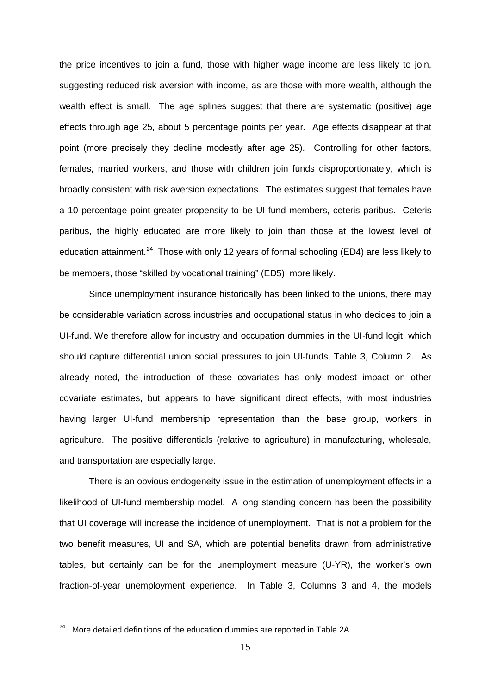the price incentives to join a fund, those with higher wage income are less likely to join, suggesting reduced risk aversion with income, as are those with more wealth, although the wealth effect is small. The age splines suggest that there are systematic (positive) age effects through age 25, about 5 percentage points per year. Age effects disappear at that point (more precisely they decline modestly after age 25). Controlling for other factors, females, married workers, and those with children join funds disproportionately, which is broadly consistent with risk aversion expectations. The estimates suggest that females have a 10 percentage point greater propensity to be UI-fund members, ceteris paribus. Ceteris paribus, the highly educated are more likely to join than those at the lowest level of education attainment.<sup>24</sup> Those with only 12 years of formal schooling (ED4) are less likely to be members, those "skilled by vocational training" (ED5) more likely.

Since unemployment insurance historically has been linked to the unions, there may be considerable variation across industries and occupational status in who decides to join a UI-fund. We therefore allow for industry and occupation dummies in the UI-fund logit, which should capture differential union social pressures to join UI-funds, Table 3, Column 2. As already noted, the introduction of these covariates has only modest impact on other covariate estimates, but appears to have significant direct effects, with most industries having larger UI-fund membership representation than the base group, workers in agriculture. The positive differentials (relative to agriculture) in manufacturing, wholesale, and transportation are especially large.

There is an obvious endogeneity issue in the estimation of unemployment effects in a likelihood of UI-fund membership model. A long standing concern has been the possibility that UI coverage will increase the incidence of unemployment. That is not a problem for the two benefit measures, UI and SA, which are potential benefits drawn from administrative tables, but certainly can be for the unemployment measure (U-YR), the worker's own fraction-of-year unemployment experience. In Table 3, Columns 3 and 4, the models

<span id="page-17-0"></span> $24$  More detailed definitions of the education dummies are reported in Table 2A.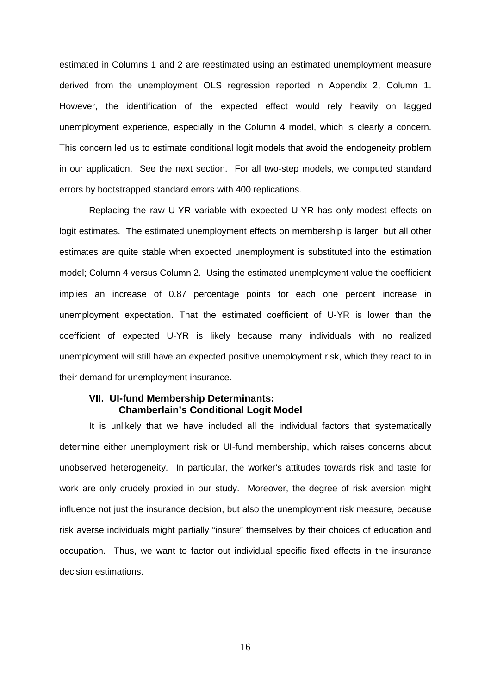estimated in Columns 1 and 2 are reestimated using an estimated unemployment measure derived from the unemployment OLS regression reported in Appendix 2, Column 1. However, the identification of the expected effect would rely heavily on lagged unemployment experience, especially in the Column 4 model, which is clearly a concern. This concern led us to estimate conditional logit models that avoid the endogeneity problem in our application. See the next section. For all two-step models, we computed standard errors by bootstrapped standard errors with 400 replications.

Replacing the raw U-YR variable with expected U-YR has only modest effects on logit estimates. The estimated unemployment effects on membership is larger, but all other estimates are quite stable when expected unemployment is substituted into the estimation model; Column 4 versus Column 2. Using the estimated unemployment value the coefficient implies an increase of 0.87 percentage points for each one percent increase in unemployment expectation. That the estimated coefficient of U-YR is lower than the coefficient of expected U-YR is likely because many individuals with no realized unemployment will still have an expected positive unemployment risk, which they react to in their demand for unemployment insurance.

#### **VII. UI-fund Membership Determinants: Chamberlain's Conditional Logit Model**

It is unlikely that we have included all the individual factors that systematically determine either unemployment risk or UI-fund membership, which raises concerns about unobserved heterogeneity. In particular, the worker's attitudes towards risk and taste for work are only crudely proxied in our study. Moreover, the degree of risk aversion might influence not just the insurance decision, but also the unemployment risk measure, because risk averse individuals might partially "insure" themselves by their choices of education and occupation. Thus, we want to factor out individual specific fixed effects in the insurance decision estimations.

16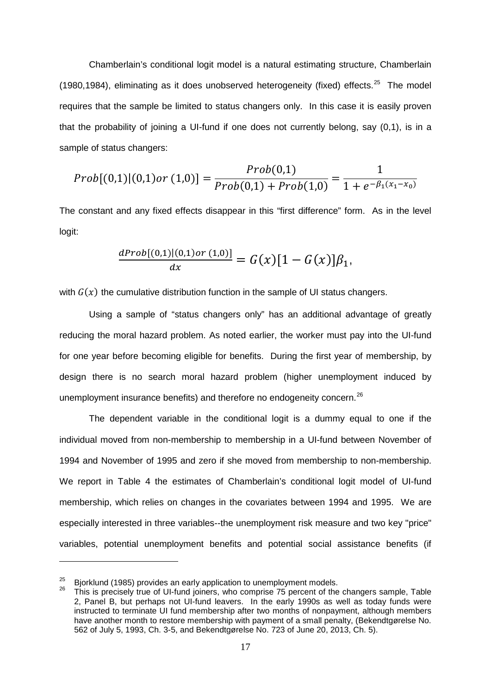Chamberlain's conditional logit model is a natural estimating structure, Chamberlain (1980,1984), eliminating as it does unobserved heterogeneity (fixed) effects.<sup>[25](#page-19-0)</sup> The model requires that the sample be limited to status changers only. In this case it is easily proven that the probability of joining a UI-fund if one does not currently belong, say (0,1), is in a sample of status changers:

$$
Prob[(0,1)|(0,1)or(1,0)] = \frac{Prob(0,1)}{Prob(0,1) + Prob(1,0)} = \frac{1}{1 + e^{-\beta_1(x_1 - x_0)}}
$$

The constant and any fixed effects disappear in this "first difference" form. As in the level logit:

$$
\frac{dProb[(0,1)|(0,1)or(1,0)]}{dx}=G(x)[1-G(x)]\beta_1,
$$

with  $G(x)$  the cumulative distribution function in the sample of UI status changers.

Using a sample of "status changers only" has an additional advantage of greatly reducing the moral hazard problem. As noted earlier, the worker must pay into the UI-fund for one year before becoming eligible for benefits. During the first year of membership, by design there is no search moral hazard problem (higher unemployment induced by unemployment insurance benefits) and therefore no endogeneity concern.<sup>[26](#page-19-1)</sup>

The dependent variable in the conditional logit is a dummy equal to one if the individual moved from non-membership to membership in a UI-fund between November of 1994 and November of 1995 and zero if she moved from membership to non-membership. We report in Table 4 the estimates of Chamberlain's conditional logit model of UI-fund membership, which relies on changes in the covariates between 1994 and 1995. We are especially interested in three variables--the unemployment risk measure and two key "price" variables, potential unemployment benefits and potential social assistance benefits (if

<span id="page-19-1"></span><span id="page-19-0"></span><sup>&</sup>lt;sup>25</sup> Bjorklund (1985) provides an early application to unemployment models.<br><sup>26</sup> This is precisely true of UI-fund joiners, who comprise 75 percent of the changers sample, Table

<sup>2,</sup> Panel B, but perhaps not UI-fund leavers. In the early 1990s as well as today funds were instructed to terminate UI fund membership after two months of nonpayment, although members have another month to restore membership with payment of a small penalty, (Bekendtgørelse No. 562 of July 5, 1993, Ch. 3-5, and Bekendtgørelse No. 723 of June 20, 2013, Ch. 5).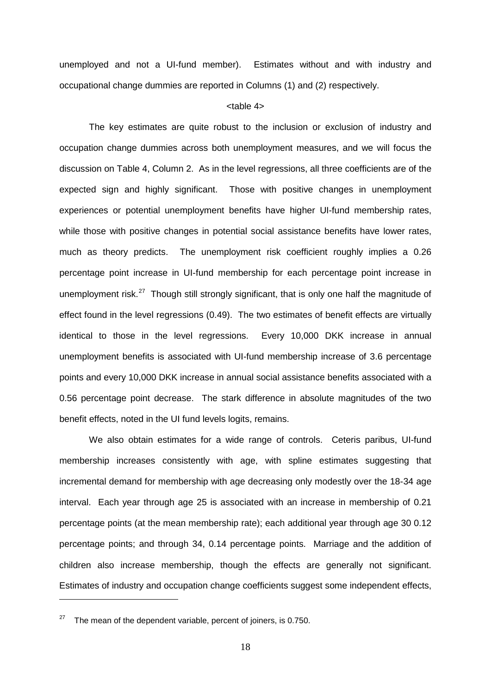unemployed and not a UI-fund member). Estimates without and with industry and occupational change dummies are reported in Columns (1) and (2) respectively.

#### <table 4>

The key estimates are quite robust to the inclusion or exclusion of industry and occupation change dummies across both unemployment measures, and we will focus the discussion on Table 4, Column 2. As in the level regressions, all three coefficients are of the expected sign and highly significant. Those with positive changes in unemployment experiences or potential unemployment benefits have higher UI-fund membership rates, while those with positive changes in potential social assistance benefits have lower rates, much as theory predicts. The unemployment risk coefficient roughly implies a 0.26 percentage point increase in UI-fund membership for each percentage point increase in unemployment risk.<sup>[27](#page-20-0)</sup> Though still strongly significant, that is only one half the magnitude of effect found in the level regressions (0.49). The two estimates of benefit effects are virtually identical to those in the level regressions. Every 10,000 DKK increase in annual unemployment benefits is associated with UI-fund membership increase of 3.6 percentage points and every 10,000 DKK increase in annual social assistance benefits associated with a 0.56 percentage point decrease. The stark difference in absolute magnitudes of the two benefit effects, noted in the UI fund levels logits, remains.

We also obtain estimates for a wide range of controls. Ceteris paribus, UI-fund membership increases consistently with age, with spline estimates suggesting that incremental demand for membership with age decreasing only modestly over the 18-34 age interval. Each year through age 25 is associated with an increase in membership of 0.21 percentage points (at the mean membership rate); each additional year through age 30 0.12 percentage points; and through 34, 0.14 percentage points. Marriage and the addition of children also increase membership, though the effects are generally not significant. Estimates of industry and occupation change coefficients suggest some independent effects,

<span id="page-20-0"></span> $27$  The mean of the dependent variable, percent of joiners, is 0.750.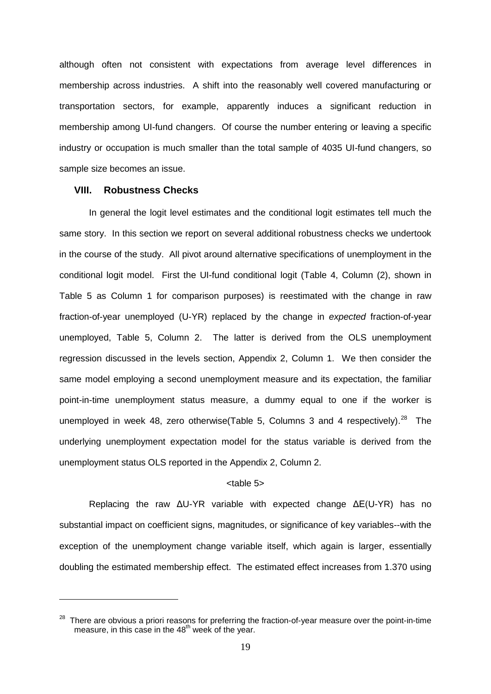although often not consistent with expectations from average level differences in membership across industries. A shift into the reasonably well covered manufacturing or transportation sectors, for example, apparently induces a significant reduction in membership among UI-fund changers. Of course the number entering or leaving a specific industry or occupation is much smaller than the total sample of 4035 UI-fund changers, so sample size becomes an issue.

#### **VIII. Robustness Checks**

-

In general the logit level estimates and the conditional logit estimates tell much the same story. In this section we report on several additional robustness checks we undertook in the course of the study. All pivot around alternative specifications of unemployment in the conditional logit model. First the UI-fund conditional logit (Table 4, Column (2), shown in Table 5 as Column 1 for comparison purposes) is reestimated with the change in raw fraction-of-year unemployed (U-YR) replaced by the change in *expected* fraction-of-year unemployed, Table 5, Column 2. The latter is derived from the OLS unemployment regression discussed in the levels section, Appendix 2, Column 1. We then consider the same model employing a second unemployment measure and its expectation, the familiar point-in-time unemployment status measure, a dummy equal to one if the worker is unemployed in week 48, zero otherwise(Table 5, Columns 3 and 4 respectively).<sup>[28](#page-21-0)</sup> The underlying unemployment expectation model for the status variable is derived from the unemployment status OLS reported in the Appendix 2, Column 2.

#### <table 5>

Replacing the raw ΔU-YR variable with expected change ΔE(U-YR) has no substantial impact on coefficient signs, magnitudes, or significance of key variables--with the exception of the unemployment change variable itself, which again is larger, essentially doubling the estimated membership effect. The estimated effect increases from 1.370 using

<span id="page-21-0"></span> $28$  There are obvious a priori reasons for preferring the fraction-of-year measure over the point-in-time measure, in this case in the  $48<sup>th</sup>$  week of the year.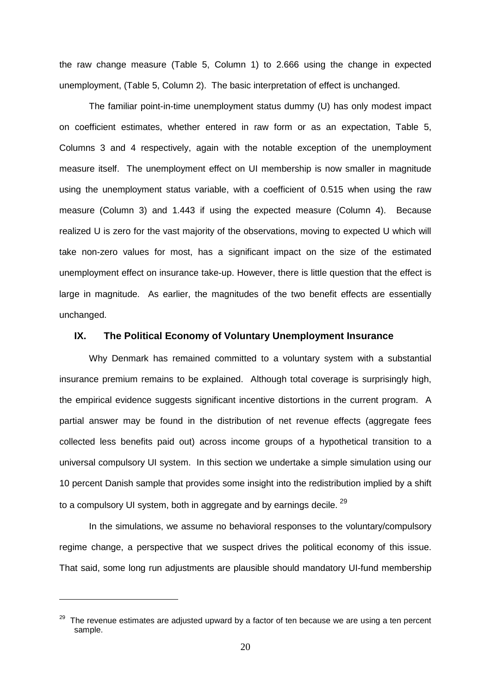the raw change measure (Table 5, Column 1) to 2.666 using the change in expected unemployment, (Table 5, Column 2). The basic interpretation of effect is unchanged.

The familiar point-in-time unemployment status dummy (U) has only modest impact on coefficient estimates, whether entered in raw form or as an expectation, Table 5, Columns 3 and 4 respectively, again with the notable exception of the unemployment measure itself. The unemployment effect on UI membership is now smaller in magnitude using the unemployment status variable, with a coefficient of 0.515 when using the raw measure (Column 3) and 1.443 if using the expected measure (Column 4). Because realized U is zero for the vast majority of the observations, moving to expected U which will take non-zero values for most, has a significant impact on the size of the estimated unemployment effect on insurance take-up. However, there is little question that the effect is large in magnitude. As earlier, the magnitudes of the two benefit effects are essentially unchanged.

#### **IX. The Political Economy of Voluntary Unemployment Insurance**

Why Denmark has remained committed to a voluntary system with a substantial insurance premium remains to be explained. Although total coverage is surprisingly high, the empirical evidence suggests significant incentive distortions in the current program. A partial answer may be found in the distribution of net revenue effects (aggregate fees collected less benefits paid out) across income groups of a hypothetical transition to a universal compulsory UI system. In this section we undertake a simple simulation using our 10 percent Danish sample that provides some insight into the redistribution implied by a shift to a compulsory UI system, both in aggregate and by earnings decile.  $29$ 

In the simulations, we assume no behavioral responses to the voluntary/compulsory regime change, a perspective that we suspect drives the political economy of this issue. That said, some long run adjustments are plausible should mandatory UI-fund membership

<span id="page-22-0"></span><sup>&</sup>lt;sup>29</sup> The revenue estimates are adjusted upward by a factor of ten because we are using a ten percent sample.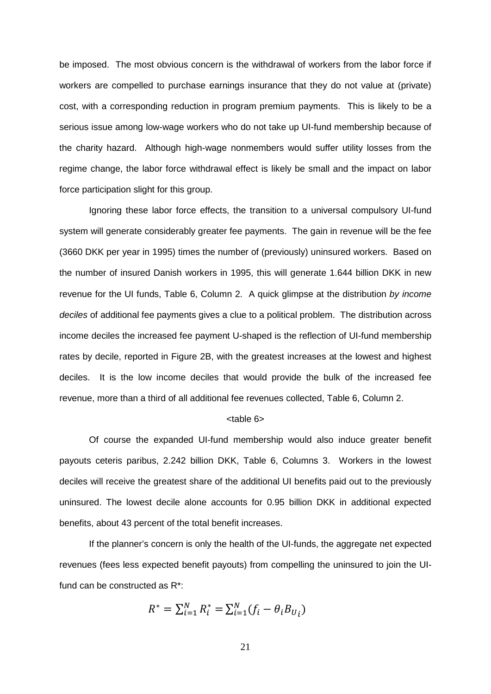be imposed. The most obvious concern is the withdrawal of workers from the labor force if workers are compelled to purchase earnings insurance that they do not value at (private) cost, with a corresponding reduction in program premium payments. This is likely to be a serious issue among low-wage workers who do not take up UI-fund membership because of the charity hazard. Although high-wage nonmembers would suffer utility losses from the regime change, the labor force withdrawal effect is likely be small and the impact on labor force participation slight for this group.

Ignoring these labor force effects, the transition to a universal compulsory UI-fund system will generate considerably greater fee payments. The gain in revenue will be the fee (3660 DKK per year in 1995) times the number of (previously) uninsured workers. Based on the number of insured Danish workers in 1995, this will generate 1.644 billion DKK in new revenue for the UI funds, Table 6, Column 2. A quick glimpse at the distribution *by income deciles* of additional fee payments gives a clue to a political problem. The distribution across income deciles the increased fee payment U-shaped is the reflection of UI-fund membership rates by decile, reported in Figure 2B, with the greatest increases at the lowest and highest deciles. It is the low income deciles that would provide the bulk of the increased fee revenue, more than a third of all additional fee revenues collected, Table 6, Column 2.

#### <table 6>

Of course the expanded UI-fund membership would also induce greater benefit payouts ceteris paribus, 2.242 billion DKK, Table 6, Columns 3. Workers in the lowest deciles will receive the greatest share of the additional UI benefits paid out to the previously uninsured. The lowest decile alone accounts for 0.95 billion DKK in additional expected benefits, about 43 percent of the total benefit increases.

If the planner's concern is only the health of the UI-funds, the aggregate net expected revenues (fees less expected benefit payouts) from compelling the uninsured to join the UIfund can be constructed as R\*:

$$
R^* = \sum_{i=1}^N R_i^* = \sum_{i=1}^N (f_i - \theta_i B_{U_i})
$$

21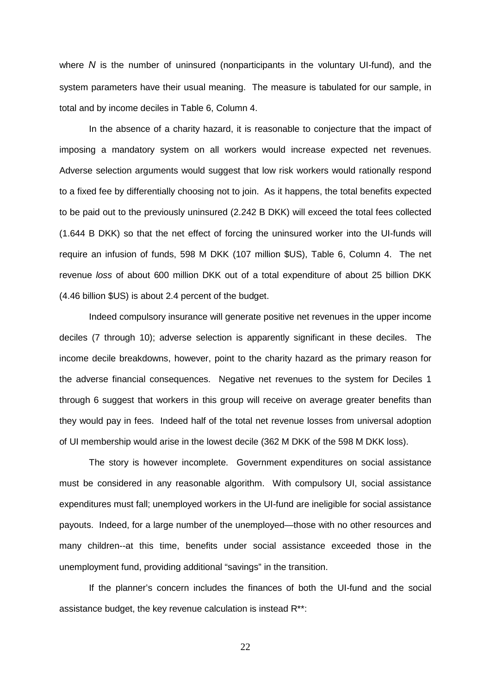where *N* is the number of uninsured (nonparticipants in the voluntary UI-fund), and the system parameters have their usual meaning. The measure is tabulated for our sample, in total and by income deciles in Table 6, Column 4.

In the absence of a charity hazard, it is reasonable to conjecture that the impact of imposing a mandatory system on all workers would increase expected net revenues. Adverse selection arguments would suggest that low risk workers would rationally respond to a fixed fee by differentially choosing not to join. As it happens, the total benefits expected to be paid out to the previously uninsured (2.242 B DKK) will exceed the total fees collected (1.644 B DKK) so that the net effect of forcing the uninsured worker into the UI-funds will require an infusion of funds, 598 M DKK (107 million \$US), Table 6, Column 4. The net revenue *loss* of about 600 million DKK out of a total expenditure of about 25 billion DKK (4.46 billion \$US) is about 2.4 percent of the budget.

Indeed compulsory insurance will generate positive net revenues in the upper income deciles (7 through 10); adverse selection is apparently significant in these deciles. The income decile breakdowns, however, point to the charity hazard as the primary reason for the adverse financial consequences. Negative net revenues to the system for Deciles 1 through 6 suggest that workers in this group will receive on average greater benefits than they would pay in fees. Indeed half of the total net revenue losses from universal adoption of UI membership would arise in the lowest decile (362 M DKK of the 598 M DKK loss).

The story is however incomplete. Government expenditures on social assistance must be considered in any reasonable algorithm. With compulsory UI, social assistance expenditures must fall; unemployed workers in the UI-fund are ineligible for social assistance payouts. Indeed, for a large number of the unemployed—those with no other resources and many children--at this time, benefits under social assistance exceeded those in the unemployment fund, providing additional "savings" in the transition.

If the planner's concern includes the finances of both the UI-fund and the social assistance budget, the key revenue calculation is instead R\*\*:

22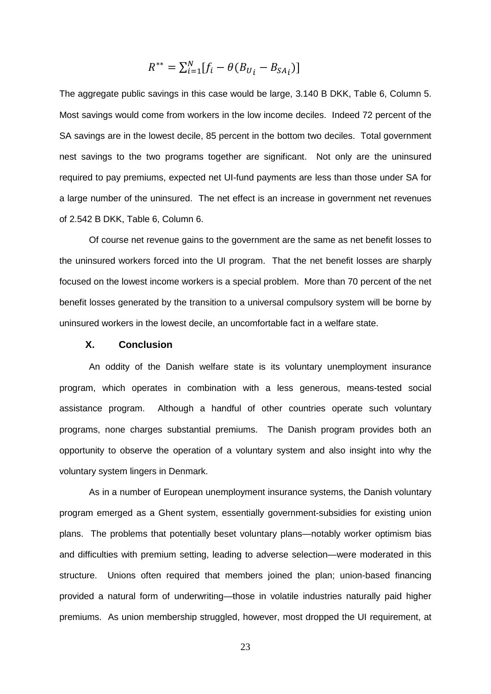$$
R^{**} = \sum_{i=1}^{N} [f_i - \theta (B_{U_i} - B_{SA_i})]
$$

The aggregate public savings in this case would be large, 3.140 B DKK, Table 6, Column 5. Most savings would come from workers in the low income deciles. Indeed 72 percent of the SA savings are in the lowest decile, 85 percent in the bottom two deciles. Total government nest savings to the two programs together are significant. Not only are the uninsured required to pay premiums, expected net UI-fund payments are less than those under SA for a large number of the uninsured. The net effect is an increase in government net revenues of 2.542 B DKK, Table 6, Column 6.

Of course net revenue gains to the government are the same as net benefit losses to the uninsured workers forced into the UI program. That the net benefit losses are sharply focused on the lowest income workers is a special problem. More than 70 percent of the net benefit losses generated by the transition to a universal compulsory system will be borne by uninsured workers in the lowest decile, an uncomfortable fact in a welfare state.

#### **X. Conclusion**

An oddity of the Danish welfare state is its voluntary unemployment insurance program, which operates in combination with a less generous, means-tested social assistance program. Although a handful of other countries operate such voluntary programs, none charges substantial premiums. The Danish program provides both an opportunity to observe the operation of a voluntary system and also insight into why the voluntary system lingers in Denmark.

As in a number of European unemployment insurance systems, the Danish voluntary program emerged as a Ghent system, essentially government-subsidies for existing union plans. The problems that potentially beset voluntary plans—notably worker optimism bias and difficulties with premium setting, leading to adverse selection—were moderated in this structure. Unions often required that members joined the plan; union-based financing provided a natural form of underwriting—those in volatile industries naturally paid higher premiums. As union membership struggled, however, most dropped the UI requirement, at

23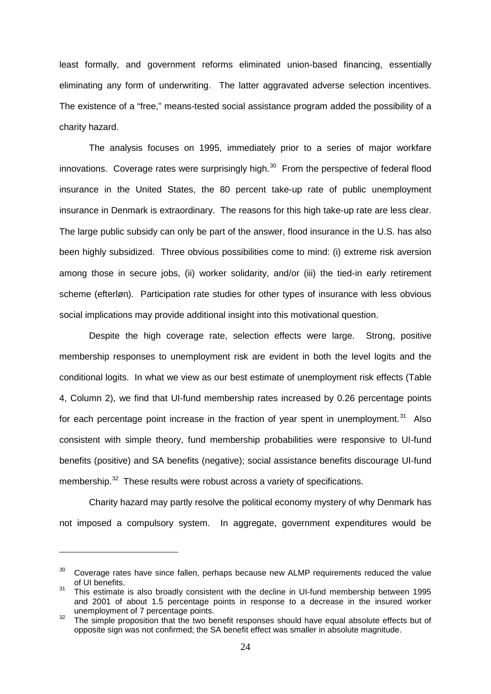least formally, and government reforms eliminated union-based financing, essentially eliminating any form of underwriting. The latter aggravated adverse selection incentives. The existence of a "free," means-tested social assistance program added the possibility of a charity hazard.

The analysis focuses on 1995, immediately prior to a series of major workfare innovations. Coverage rates were surprisingly high. $30$  From the perspective of federal flood insurance in the United States, the 80 percent take-up rate of public unemployment insurance in Denmark is extraordinary. The reasons for this high take-up rate are less clear. The large public subsidy can only be part of the answer, flood insurance in the U.S. has also been highly subsidized. Three obvious possibilities come to mind: (i) extreme risk aversion among those in secure jobs, (ii) worker solidarity, and/or (iii) the tied-in early retirement scheme (efterløn). Participation rate studies for other types of insurance with less obvious social implications may provide additional insight into this motivational question.

Despite the high coverage rate, selection effects were large. Strong, positive membership responses to unemployment risk are evident in both the level logits and the conditional logits. In what we view as our best estimate of unemployment risk effects (Table 4, Column 2), we find that UI-fund membership rates increased by 0.26 percentage points for each percentage point increase in the fraction of year spent in unemployment. $31$  Also consistent with simple theory, fund membership probabilities were responsive to UI-fund benefits (positive) and SA benefits (negative); social assistance benefits discourage UI-fund membership.<sup>32</sup> These results were robust across a variety of specifications.

Charity hazard may partly resolve the political economy mystery of why Denmark has not imposed a compulsory system. In aggregate, government expenditures would be

<span id="page-26-0"></span> $30$  Coverage rates have since fallen, perhaps because new ALMP requirements reduced the value of UI benefits.

<span id="page-26-1"></span><sup>&</sup>lt;sup>31</sup> This estimate is also broadly consistent with the decline in UI-fund membership between 1995 and 2001 of about 1.5 percentage points in response to a decrease in the insured worker

<span id="page-26-2"></span><sup>&</sup>lt;sup>32</sup> The simple proposition that the two benefit responses should have equal absolute effects but of opposite sign was not confirmed; the SA benefit effect was smaller in absolute magnitude.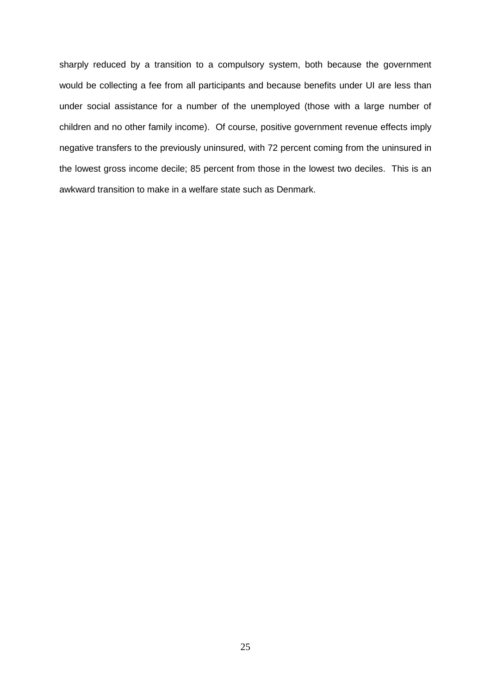sharply reduced by a transition to a compulsory system, both because the government would be collecting a fee from all participants and because benefits under UI are less than under social assistance for a number of the unemployed (those with a large number of children and no other family income). Of course, positive government revenue effects imply negative transfers to the previously uninsured, with 72 percent coming from the uninsured in the lowest gross income decile; 85 percent from those in the lowest two deciles. This is an awkward transition to make in a welfare state such as Denmark.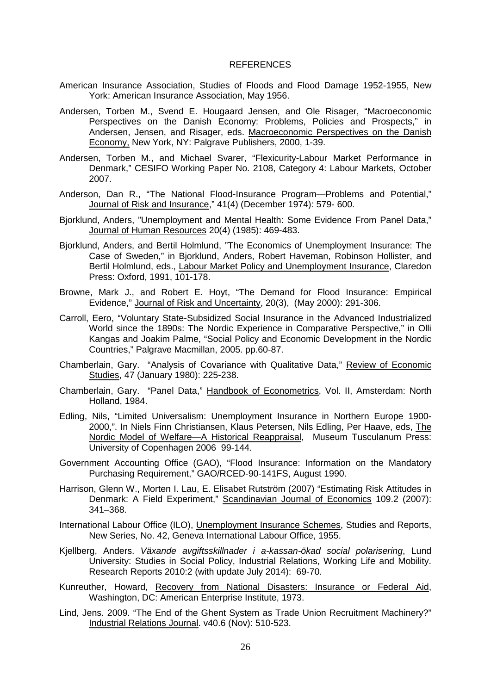#### REFERENCES

- American Insurance Association, Studies of Floods and Flood Damage 1952-1955, New York: American Insurance Association, May 1956.
- Andersen, Torben M., Svend E. Hougaard Jensen, and Ole Risager, "Macroeconomic Perspectives on the Danish Economy: Problems, Policies and Prospects," in Andersen, Jensen, and Risager, eds. Macroeconomic Perspectives on the Danish Economy, New York, NY: Palgrave Publishers, 2000, 1-39.
- Andersen, Torben M., and Michael Svarer, "Flexicurity-Labour Market Performance in Denmark," CESIFO Working Paper No. 2108, Category 4: Labour Markets, October 2007.
- Anderson, Dan R., "The National Flood-Insurance Program—Problems and Potential," Journal of Risk and Insurance," 41(4) (December 1974): 579- 600.
- Bjorklund, Anders, "Unemployment and Mental Health: Some Evidence From Panel Data," Journal of Human Resources 20(4) (1985): 469-483.
- Bjorklund, Anders, and Bertil Holmlund, "The Economics of Unemployment Insurance: The Case of Sweden," in Bjorklund, Anders, Robert Haveman, Robinson Hollister, and Bertil Holmlund, eds., Labour Market Policy and Unemployment Insurance, Claredon Press: Oxford, 1991, 101-178.
- Browne, Mark J., and Robert E. Hoyt, "The Demand for Flood Insurance: Empirical Evidence," Journal of Risk and Uncertainty, 20(3), (May 2000): 291-306.
- Carroll, Eero, "Voluntary State-Subsidized Social Insurance in the Advanced Industrialized World since the 1890s: The Nordic Experience in Comparative Perspective," in Olli Kangas and Joakim Palme, "Social Policy and Economic Development in the Nordic Countries," Palgrave Macmillan, 2005. pp.60-87.
- Chamberlain, Gary. "Analysis of Covariance with Qualitative Data," Review of Economic Studies, 47 (January 1980): 225-238.
- Chamberlain, Gary. "Panel Data," Handbook of Econometrics, Vol. II, Amsterdam: North Holland, 1984.
- Edling, Nils, "Limited Universalism: Unemployment Insurance in Northern Europe 1900- 2000,". In Niels Finn Christiansen, Klaus Petersen, Nils Edling, Per Haave, eds, The Nordic Model of Welfare—A Historical Reappraisal, Museum Tusculanum Press: University of Copenhagen 2006 99-144.
- Government Accounting Office (GAO), "Flood Insurance: Information on the Mandatory Purchasing Requirement," GAO/RCED-90-141FS, August 1990.
- Harrison, Glenn W., Morten I. Lau, E. Elisabet Rutström (2007) "Estimating Risk Attitudes in Denmark: A Field Experiment," Scandinavian Journal of Economics 109.2 (2007): 341–368.
- International Labour Office (ILO), Unemployment Insurance Schemes, Studies and Reports, New Series, No. 42, Geneva International Labour Office, 1955.
- Kjellberg, Anders. *Växande avgiftsskillnader i [a-kassan-ökad social polarisering](http://lup.lub.lu.se/luur/download?func=downloadFile&recordOId=1473727&fileOId=1486417)*, Lund University: Studies in Social Policy, Industrial Relations, Working Life and Mobility. Research Reports 2010:2 (with update July 2014): 69-70.
- Kunreuther, Howard, Recovery from National Disasters: Insurance or Federal Aid, Washington, DC: American Enterprise Institute, 1973.
- Lind, Jens. 2009. "The End of the Ghent System as Trade Union Recruitment Machinery?" Industrial Relations Journal. v40.6 (Nov): 510-523.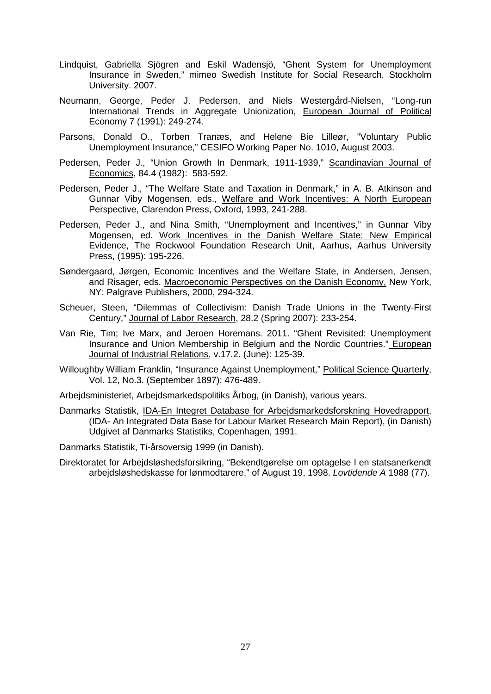- Lindquist, Gabriella Sjögren and Eskil Wadensjö, "Ghent System for Unemployment Insurance in Sweden," mimeo Swedish Institute for Social Research, Stockholm University. 2007.
- Neumann, George, Peder J. Pedersen, and Niels Westerg*å*rd-Nielsen, "Long-run International Trends in Aggregate Unionization, European Journal of Political Economy 7 (1991): 249-274.
- Parsons, Donald O., Torben Tranæs, and Helene Bie Lilleør, "Voluntary Public Unemployment Insurance," CESIFO Working Paper No. 1010, August 2003.
- Pedersen, Peder J., "Union Growth In Denmark, 1911-1939," Scandinavian Journal of Economics, 84.4 (1982): 583-592.
- Pedersen, Peder J., "The Welfare State and Taxation in Denmark," in A. B. Atkinson and Gunnar Viby Mogensen, eds., Welfare and Work Incentives: A North European Perspective, Clarendon Press, Oxford, 1993, 241-288.
- Pedersen, Peder J., and Nina Smith, "Unemployment and Incentives," in Gunnar Viby Mogensen, ed. Work Incentives in the Danish Welfare State: New Empirical Evidence, The Rockwool Foundation Research Unit, Aarhus, Aarhus University Press, (1995): 195-226.
- Søndergaard, Jørgen, Economic Incentives and the Welfare State, in Andersen, Jensen, and Risager, eds. Macroeconomic Perspectives on the Danish Economy, New York, NY: Palgrave Publishers, 2000, 294-324.
- Scheuer, Steen, "Dilemmas of Collectivism: Danish Trade Unions in the Twenty-First Century," Journal of Labor Research, 28.2 (Spring 2007): 233-254.
- Van Rie, Tim; Ive Marx, and Jeroen Horemans. 2011. "Ghent Revisited: Unemployment Insurance and Union Membership in Belgium and the Nordic Countries." European Journal of Industrial Relations, v.17.2. (June): 125-39.
- Willoughby William Franklin, "Insurance Against Unemployment," Political Science Quarterly, Vol. 12, No.3. (September 1897): 476-489.
- Arbejdsministeriet, Arbejdsmarkedspolitiks Årbog, (in Danish), various years.
- Danmarks Statistik, IDA-En Integret Database for Arbejdsmarkedsforskning Hovedrapport, (IDA- An Integrated Data Base for Labour Market Research Main Report), (in Danish) Udgivet af Danmarks Statistiks, Copenhagen, 1991.
- Danmarks Statistik, Ti-årsoversig 1999 (in Danish).
- Direktoratet for Arbejdsløshedsforsikring, "Bekendtgørelse om optagelse I en statsanerkendt arbejdsløshedskasse for lønmodtarere," of August 19, 1998. *Lovtidende A* 1988 (77).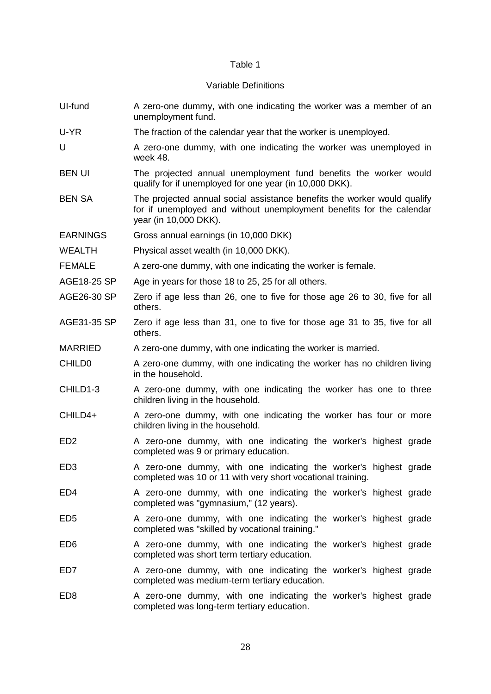#### Table 1

#### Variable Definitions

UI-fund A zero-one dummy, with one indicating the worker was a member of an unemployment fund. U-YR The fraction of the calendar year that the worker is unemployed. U A zero-one dummy, with one indicating the worker was unemployed in week 48. BEN UI The projected annual unemployment fund benefits the worker would qualify for if unemployed for one year (in 10,000 DKK). BEN SA The projected annual social assistance benefits the worker would qualify for if unemployed and without unemployment benefits for the calendar year (in 10,000 DKK). EARNINGS Gross annual earnings (in 10,000 DKK) WEALTH Physical asset wealth (in 10,000 DKK). FEMALE A zero-one dummy, with one indicating the worker is female. AGE18-25 SP Age in years for those 18 to 25, 25 for all others. AGE26-30 SP Zero if age less than 26, one to five for those age 26 to 30, five for all others. AGE31-35 SP Zero if age less than 31, one to five for those age 31 to 35, five for all others. MARRIED A zero-one dummy, with one indicating the worker is married. CHILD0 A zero-one dummy, with one indicating the worker has no children living in the household. CHILD1-3 A zero-one dummy, with one indicating the worker has one to three children living in the household. CHILD4+ A zero-one dummy, with one indicating the worker has four or more children living in the household. ED2 A zero-one dummy, with one indicating the worker's highest grade completed was 9 or primary education. ED3 A zero-one dummy, with one indicating the worker's highest grade completed was 10 or 11 with very short vocational training. ED4 A zero-one dummy, with one indicating the worker's highest grade completed was "gymnasium," (12 years). ED5 A zero-one dummy, with one indicating the worker's highest grade completed was "skilled by vocational training." ED6 A zero-one dummy, with one indicating the worker's highest grade completed was short term tertiary education. ED7 A zero-one dummy, with one indicating the worker's highest grade completed was medium-term tertiary education. ED8 A zero-one dummy, with one indicating the worker's highest grade

completed was long-term tertiary education.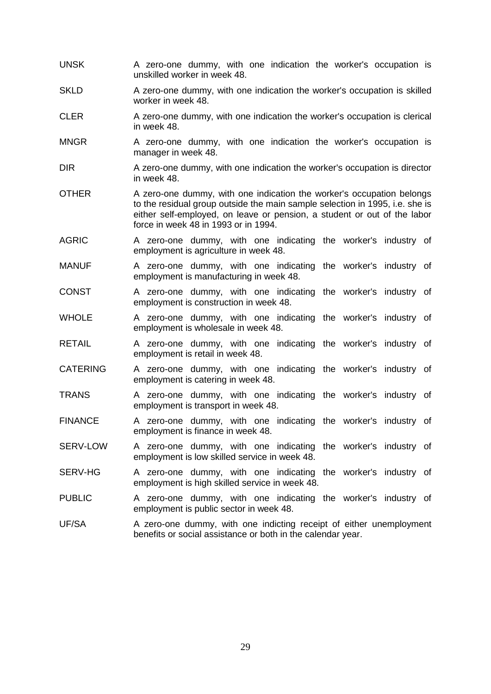- UNSK A zero-one dummy, with one indication the worker's occupation is unskilled worker in week 48.
- SKLD A zero-one dummy, with one indication the worker's occupation is skilled worker in week 48.
- CLER A zero-one dummy, with one indication the worker's occupation is clerical in week 48.
- MNGR A zero-one dummy, with one indication the worker's occupation is manager in week 48.
- DIR A zero-one dummy, with one indication the worker's occupation is director in week 48.
- OTHER A zero-one dummy, with one indication the worker's occupation belongs to the residual group outside the main sample selection in 1995, i.e. she is either self-employed, on leave or pension, a student or out of the labor force in week 48 in 1993 or in 1994.
- AGRIC A zero-one dummy, with one indicating the worker's industry of employment is agriculture in week 48.
- MANUF A zero-one dummy, with one indicating the worker's industry of employment is manufacturing in week 48.
- CONST A zero-one dummy, with one indicating the worker's industry of employment is construction in week 48.
- WHOLE A zero-one dummy, with one indicating the worker's industry of employment is wholesale in week 48.
- RETAIL A zero-one dummy, with one indicating the worker's industry of employment is retail in week 48.
- CATERING A zero-one dummy, with one indicating the worker's industry of employment is catering in week 48.
- TRANS A zero-one dummy, with one indicating the worker's industry of employment is transport in week 48.
- FINANCE A zero-one dummy, with one indicating the worker's industry of employment is finance in week 48.
- SERV-LOW A zero-one dummy, with one indicating the worker's industry of employment is low skilled service in week 48.
- SERV-HG A zero-one dummy, with one indicating the worker's industry of employment is high skilled service in week 48.
- PUBLIC A zero-one dummy, with one indicating the worker's industry of employment is public sector in week 48.
- UF/SA A zero-one dummy, with one indicting receipt of either unemployment benefits or social assistance or both in the calendar year.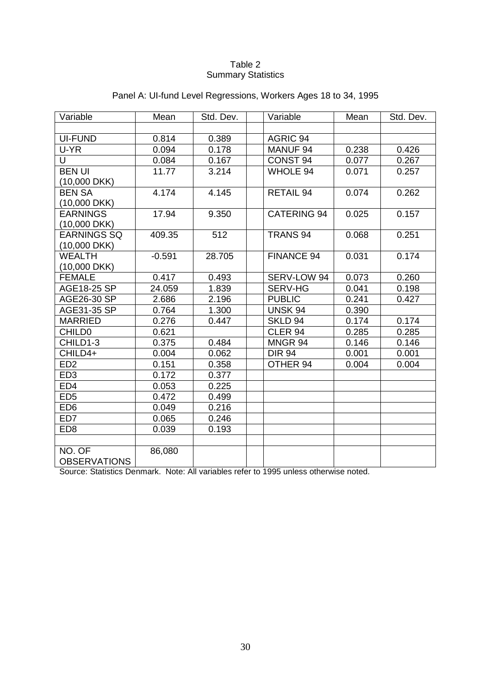#### Table 2 Summary Statistics

| Variable            | Mean     | Std. Dev. | Variable           | Mean  | Std. Dev. |
|---------------------|----------|-----------|--------------------|-------|-----------|
|                     |          |           |                    |       |           |
| <b>UI-FUND</b>      | 0.814    | 0.389     | AGRIC 94           |       |           |
| U-YR                | 0.094    | 0.178     | MANUF 94           | 0.238 | 0.426     |
| U                   | 0.084    | 0.167     | CONST 94           | 0.077 | 0.267     |
| <b>BEN UI</b>       | 11.77    | 3.214     | <b>WHOLE 94</b>    | 0.071 | 0.257     |
| (10,000 DKK)        |          |           |                    |       |           |
| <b>BEN SA</b>       | 4.174    | 4.145     | RETAIL 94          | 0.074 | 0.262     |
| $(10,000$ DKK $)$   |          |           |                    |       |           |
| <b>EARNINGS</b>     | 17.94    | 9.350     | <b>CATERING 94</b> | 0.025 | 0.157     |
| (10,000 DKK)        |          |           |                    |       |           |
| EARNINGS SQ         | 409.35   | 512       | <b>TRANS 94</b>    | 0.068 | 0.251     |
| $(10,000$ DKK $)$   |          |           |                    |       |           |
| <b>WEALTH</b>       | $-0.591$ | 28.705    | <b>FINANCE 94</b>  | 0.031 | 0.174     |
| $(10,000$ DKK $)$   |          |           |                    |       |           |
| <b>FEMALE</b>       | 0.417    | 0.493     | SERV-LOW 94        | 0.073 | 0.260     |
| <b>AGE18-25 SP</b>  | 24.059   | 1.839     | <b>SERV-HG</b>     | 0.041 | 0.198     |
| AGE26-30 SP         | 2.686    | 2.196     | <b>PUBLIC</b>      | 0.241 | 0.427     |
| AGE31-35 SP         | 0.764    | 1.300     | <b>UNSK 94</b>     | 0.390 |           |
| <b>MARRIED</b>      | 0.276    | 0.447     | SKLD 94            | 0.174 | 0.174     |
| <b>CHILD0</b>       | 0.621    |           | CLER <sub>94</sub> | 0.285 | 0.285     |
| CHILD1-3            | 0.375    | 0.484     | MNGR 94            | 0.146 | 0.146     |
| CHILD4+             | 0.004    | 0.062     | <b>DIR 94</b>      | 0.001 | 0.001     |
| ED <sub>2</sub>     | 0.151    | 0.358     | OTHER 94           | 0.004 | 0.004     |
| ED <sub>3</sub>     | 0.172    | 0.377     |                    |       |           |
| ED <sub>4</sub>     | 0.053    | 0.225     |                    |       |           |
| ED <sub>5</sub>     | 0.472    | 0.499     |                    |       |           |
| ED <sub>6</sub>     | 0.049    | 0.216     |                    |       |           |
| ED7                 | 0.065    | 0.246     |                    |       |           |
| ED <sub>8</sub>     | 0.039    | 0.193     |                    |       |           |
|                     |          |           |                    |       |           |
| NO. OF              | 86,080   |           |                    |       |           |
| <b>OBSERVATIONS</b> |          |           |                    |       |           |

### Panel A: UI-fund Level Regressions, Workers Ages 18 to 34, 1995

Source: Statistics Denmark. Note: All variables refer to 1995 unless otherwise noted.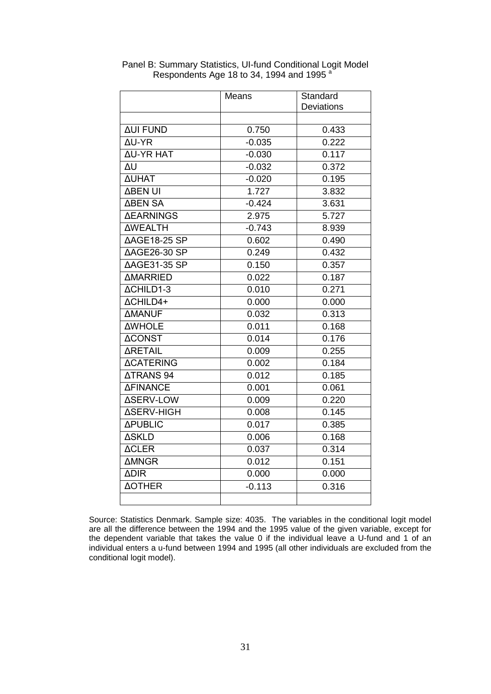|                         | Means    | Standard          |
|-------------------------|----------|-------------------|
|                         |          | <b>Deviations</b> |
|                         |          |                   |
| <b>AUI FUND</b>         | 0.750    | 0.433             |
| ΔU-YR                   | $-0.035$ | 0.222             |
| ΔU-YR HAT               | $-0.030$ | 0.117             |
| ΔU                      | $-0.032$ | 0.372             |
| <b>AUHAT</b>            | $-0.020$ | 0.195             |
| <b>ABEN UI</b>          | 1.727    | 3.832             |
| <b>∆BEN SA</b>          | $-0.424$ | 3.631             |
| <b><i>ΔEARNINGS</i></b> | 2.975    | 5.727             |
| <b>AWEALTH</b>          | $-0.743$ | 8.939             |
| <b>∆AGE18-25 SP</b>     | 0.602    | 0.490             |
| AAGE26-30 SP            | 0.249    | 0.432             |
| ΔAGE31-35 SP            | 0.150    | 0.357             |
| <b><i>AMARRIED</i></b>  | 0.022    | 0.187             |
| ΔCHILD1-3               | 0.010    | 0.271             |
| ACHILD4+                | 0.000    | 0.000             |
| <b>AMANUF</b>           | 0.032    | 0.313             |
| <b>AWHOLE</b>           | 0.011    | 0.168             |
| <b>ACONST</b>           | 0.014    | 0.176             |
| <b>ARETAIL</b>          | 0.009    | 0.255             |
| <b>ACATERING</b>        | 0.002    | 0.184             |
| <b>ATRANS 94</b>        | 0.012    | 0.185             |
| <b>ΔFINANCE</b>         | 0.001    | 0.061             |
| <b>ASERV-LOW</b>        | 0.009    | 0.220             |
| <b>ΔSERV-HIGH</b>       | 0.008    | 0.145             |
| <b>APUBLIC</b>          | 0.017    | 0.385             |
| <b>ASKLD</b>            | 0.006    | 0.168             |
| <b>ACLER</b>            | 0.037    | 0.314             |
| <b>AMNGR</b>            | 0.012    | 0.151             |
| <b>ADIR</b>             | 0.000    | 0.000             |
| <b>AOTHER</b>           | $-0.113$ | 0.316             |
|                         |          |                   |

Panel B: Summary Statistics, UI-fund Conditional Logit Model Respondents Age 18 to 34, 1994 and 1995 $^{\circ}$ 

Source: Statistics Denmark. Sample size: 4035. The variables in the conditional logit model are all the difference between the 1994 and the 1995 value of the given variable, except for the dependent variable that takes the value 0 if the individual leave a U-fund and 1 of an individual enters a u-fund between 1994 and 1995 (all other individuals are excluded from the conditional logit model).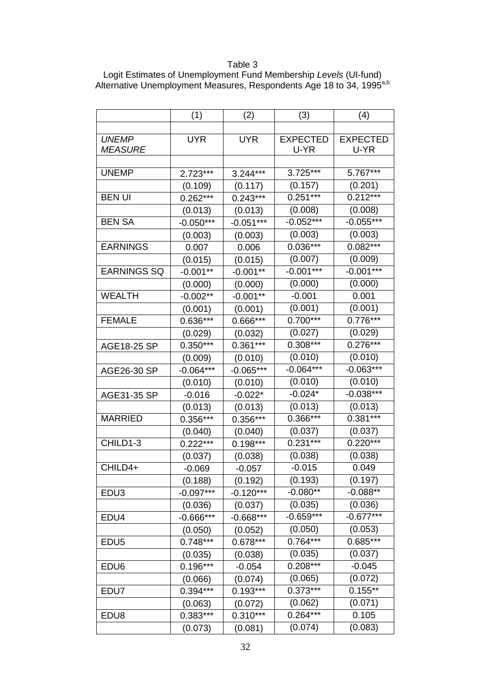## Table 3

| Logit Estimates of Unemployment Fund Membership Levels (UI-fund)                 |
|----------------------------------------------------------------------------------|
| Alternative Unemployment Measures, Respondents Age 18 to 34, 1995 <sup>a,b</sup> |

|                    | (1)         | (2)         | (3)             | (4)             |
|--------------------|-------------|-------------|-----------------|-----------------|
|                    |             |             |                 |                 |
| <b>UNEMP</b>       | <b>UYR</b>  | <b>UYR</b>  | <b>EXPECTED</b> | <b>EXPECTED</b> |
| <b>MEASURE</b>     |             |             | U-YR            | U-YR            |
|                    |             |             |                 |                 |
| <b>UNEMP</b>       | 2.723***    | 3.244***    | $3.725***$      | 5.767***        |
|                    | (0.109)     | (0.117)     | (0.157)         | (0.201)         |
| <b>BEN UI</b>      | $0.262***$  | $0.243***$  | $0.251***$      | $0.212***$      |
|                    | (0.013)     | (0.013)     | (0.008)         | (0.008)         |
| <b>BEN SA</b>      | $-0.050***$ | $-0.051***$ | $-0.052***$     | $-0.055***$     |
|                    | (0.003)     | (0.003)     | (0.003)         | (0.003)         |
| <b>EARNINGS</b>    | 0.007       | 0.006       | $0.036***$      | $0.082***$      |
|                    | (0.015)     | (0.015)     | (0.007)         | (0.009)         |
| <b>EARNINGS SQ</b> | $-0.001**$  | $-0.001**$  | $-0.001***$     | $-0.001***$     |
|                    | (0.000)     | (0.000)     | (0.000)         | (0.000)         |
| <b>WEALTH</b>      | $-0.002**$  | $-0.001**$  | $-0.001$        | 0.001           |
|                    | (0.001)     | (0.001)     | (0.001)         | (0.001)         |
| <b>FEMALE</b>      | 0.636***    | 0.666***    | $0.700***$      | $0.776***$      |
|                    | (0.029)     | (0.032)     | (0.027)         | (0.029)         |
| AGE18-25 SP        | $0.350***$  | $0.361***$  | $0.308***$      | $0.276***$      |
|                    | (0.009)     | (0.010)     | (0.010)         | (0.010)         |
| AGE26-30 SP        | $-0.064***$ | $-0.065***$ | $-0.064***$     | $-0.063***$     |
|                    | (0.010)     | (0.010)     | (0.010)         | (0.010)         |
| AGE31-35 SP        | $-0.016$    | $-0.022*$   | $-0.024*$       | $-0.038***$     |
|                    | (0.013)     | (0.013)     | (0.013)         | (0.013)         |
| <b>MARRIED</b>     | $0.356***$  | $0.356***$  | $0.366***$      | $0.381***$      |
|                    | (0.040)     | (0.040)     | (0.037)         | (0.037)         |
| CHILD1-3           | $0.222***$  | $0.198***$  | $0.231***$      | $0.220***$      |
|                    | (0.037)     | (0.038)     | (0.038)         | (0.038)         |
| CHILD4+            | $-0.069$    | $-0.057$    | $-0.015$        | 0.049           |
|                    | (0.188)     | (0.192)     | (0.193)         | (0.197)         |
| EDU <sub>3</sub>   | $-0.097***$ | $-0.120***$ | $-0.080**$      | $-0.088**$      |
|                    | (0.036)     | (0.037)     | (0.035)         | (0.036)         |
| EDU4               | $-0.666***$ | $-0.668***$ | $-0.659***$     | $-0.677***$     |
|                    | (0.050)     | (0.052)     | (0.050)         | (0.053)         |
| EDU <sub>5</sub>   | $0.748***$  | $0.678***$  | $0.764***$      | $0.685***$      |
|                    | (0.035)     | (0.038)     | (0.035)         | (0.037)         |
| EDU <sub>6</sub>   | $0.196***$  | $-0.054$    | $0.208***$      | $-0.045$        |
|                    | (0.066)     | (0.074)     | (0.065)         | (0.072)         |
| EDU7               | $0.394***$  | $0.193***$  | $0.373***$      | $0.155***$      |
|                    | (0.063)     | (0.072)     | (0.062)         | (0.071)         |
| EDU8               | $0.383***$  | $0.310***$  | $0.264***$      | 0.105           |
|                    | (0.073)     | (0.081)     | (0.074)         | (0.083)         |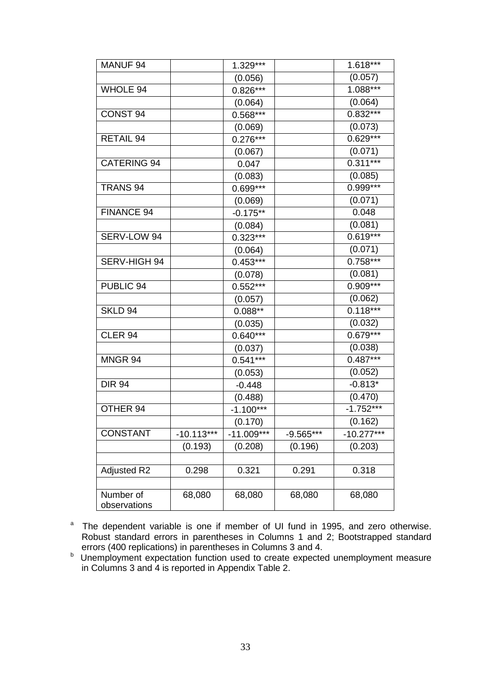| MANUF <sub>94</sub>       |              | 1.329***     |           | 1.618***     |
|---------------------------|--------------|--------------|-----------|--------------|
|                           |              | (0.056)      |           | (0.057)      |
| <b>WHOLE 94</b>           |              | $0.826***$   |           | $1.088***$   |
|                           |              | (0.064)      |           | (0.064)      |
| CONST <sub>94</sub>       |              | $0.568***$   |           | $0.832***$   |
|                           |              | (0.069)      |           | (0.073)      |
| <b>RETAIL 94</b>          |              | $0.276***$   |           | $0.629***$   |
|                           |              | (0.067)      |           | (0.071)      |
| <b>CATERING 94</b>        |              | 0.047        |           | $0.311***$   |
|                           |              | (0.083)      |           | (0.085)      |
| <b>TRANS 94</b>           |              | 0.699***     |           | 0.999***     |
|                           |              | (0.069)      |           | (0.071)      |
| <b>FINANCE 94</b>         |              | $-0.175**$   |           | 0.048        |
|                           |              | (0.084)      |           | (0.081)      |
| SERV-LOW 94               |              | $0.323***$   |           | $0.619***$   |
|                           |              | (0.064)      |           | (0.071)      |
| SERV-HIGH 94              |              | $0.453***$   |           | $0.758***$   |
|                           |              | (0.078)      |           | (0.081)      |
| PUBLIC 94                 |              | $0.552***$   |           | 0.909***     |
|                           |              | (0.057)      |           | (0.062)      |
| SKLD $94$                 |              | $0.088**$    |           | $0.118***$   |
|                           |              | (0.035)      |           | (0.032)      |
| CLER <sub>94</sub>        |              | $0.640***$   |           | $0.679***$   |
|                           |              | (0.037)      |           | (0.038)      |
| MNGR 94                   |              | $0.541***$   |           | $0.487***$   |
|                           |              | (0.053)      |           | (0.052)      |
| <b>DIR 94</b>             |              | $-0.448$     |           | $-0.813*$    |
|                           |              | (0.488)      |           | (0.470)      |
| OTHER 94                  |              | $-1.100***$  |           | $-1.752***$  |
|                           |              | (0.170)      |           | (0.162)      |
| <b>CONSTANT</b>           | $-10.113***$ | $-11.009***$ | -9.565*** | $-10.277***$ |
|                           | (0.193)      | (0.208)      | (0.196)   | (0.203)      |
|                           |              |              |           |              |
| <b>Adjusted R2</b>        | 0.298        | 0.321        | 0.291     | 0.318        |
|                           |              |              |           |              |
| Number of<br>observations | 68,080       | 68,080       | 68,080    | 68,080       |

a The dependent variable is one if member of UI fund in 1995, and zero otherwise. Robust standard errors in parentheses in Columns 1 and 2; Bootstrapped standard

errors (400 replications) in parentheses in Columns 3 and 4.<br><sup>b</sup> Unemployment expectation function used to create expected unemployment measure in Columns 3 and 4 is reported in Appendix Table 2.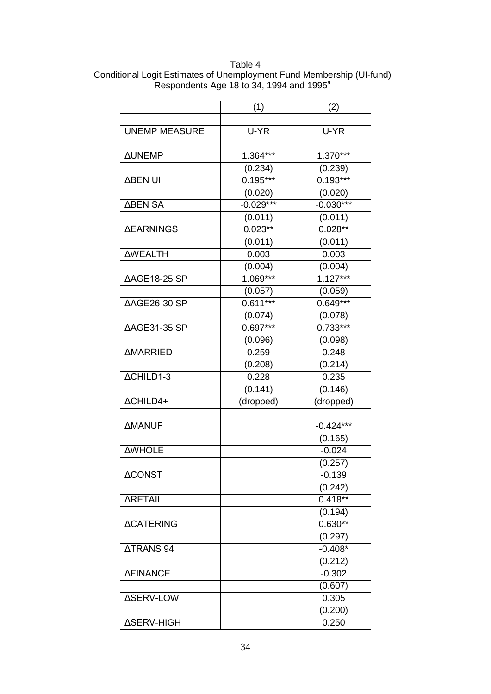Table 4 Conditional Logit Estimates of Unemployment Fund Membership (UI-fund) Respondents Age 18 to 34, 1994 and 1995<sup>a</sup>

|                         | (1)         | (2)         |
|-------------------------|-------------|-------------|
|                         |             |             |
| <b>UNEMP MEASURE</b>    | U-YR        | U-YR        |
|                         |             |             |
| <b>AUNEMP</b>           | 1.364***    | 1.370***    |
|                         | (0.234)     | (0.239)     |
| <b>ABEN UI</b>          | $0.195***$  | $0.193***$  |
|                         | (0.020)     | (0.020)     |
| <b>ABEN SA</b>          | $-0.029***$ | $-0.030***$ |
|                         | (0.011)     | (0.011)     |
| <b><i>ΔEARNINGS</i></b> | $0.023**$   | $0.028**$   |
|                         | (0.011)     | (0.011)     |
| <b>AWEALTH</b>          | 0.003       | 0.003       |
|                         | (0.004)     | (0.004)     |
| <b>∆AGE18-25 SP</b>     | $1.069***$  | $1.127***$  |
|                         | (0.057)     | (0.059)     |
| AAGE26-30 SP            | $0.611***$  | $0.649***$  |
|                         | (0.074)     | (0.078)     |
| <b>∆AGE31-35 SP</b>     | $0.697***$  | $0.733***$  |
|                         | (0.096)     | (0.098)     |
| <b>AMARRIED</b>         | 0.259       | 0.248       |
|                         | (0.208)     | (0.214)     |
| ΔCHILD1-3               | 0.228       | 0.235       |
|                         | (0.141)     | (0.146)     |
| ΔCHILD4+                | (dropped)   | (dropped)   |
|                         |             |             |
| <b>AMANUF</b>           |             | $-0.424***$ |
|                         |             | (0.165)     |
| <b>AWHOLE</b>           |             | $-0.024$    |
|                         |             | (0.257)     |
| <b>ACONST</b>           |             | $-0.139$    |
|                         |             | (0.242)     |
| <b>ARETAIL</b>          |             | $0.418**$   |
|                         |             | (0.194)     |
| <b>ACATERING</b>        |             | $0.630**$   |
|                         |             | (0.297)     |
| <b>ATRANS 94</b>        |             | $-0.408*$   |
|                         |             | (0.212)     |
| <b>ΔFINANCE</b>         |             | $-0.302$    |
|                         |             | (0.607)     |
| ΔSERV-LOW               |             | 0.305       |
|                         |             | (0.200)     |
| <b>ΔSERV-HIGH</b>       |             | 0.250       |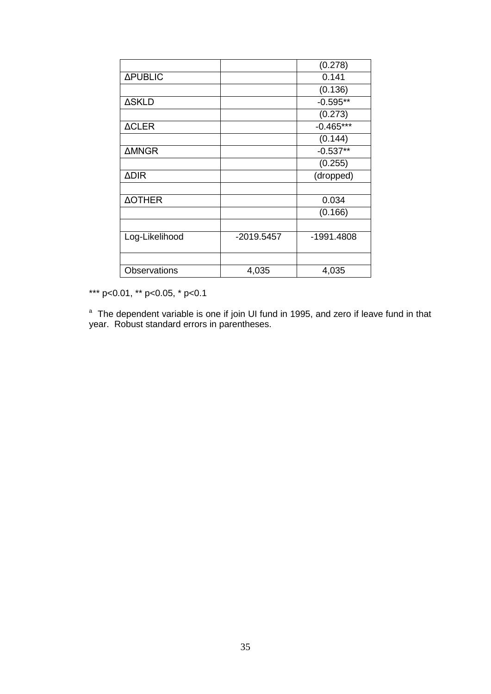|                     |            | (0.278)     |
|---------------------|------------|-------------|
| <b>APUBLIC</b>      |            | 0.141       |
|                     |            | (0.136)     |
| <b>ASKLD</b>        |            | $-0.595**$  |
|                     |            | (0.273)     |
| <b>ACLER</b>        |            | $-0.465***$ |
|                     |            | (0.144)     |
| <b>AMNGR</b>        |            | $-0.537**$  |
|                     |            | (0.255)     |
| <b>ADIR</b>         |            | (dropped)   |
|                     |            |             |
| <b>AOTHER</b>       |            | 0.034       |
|                     |            | (0.166)     |
|                     |            |             |
| Log-Likelihood      | -2019.5457 | -1991.4808  |
|                     |            |             |
| <b>Observations</b> | 4,035      | 4,035       |

\*\*\* p<0.01, \*\* p<0.05, \* p<0.1

<sup>a</sup> The dependent variable is one if join UI fund in 1995, and zero if leave fund in that year. Robust standard errors in parentheses.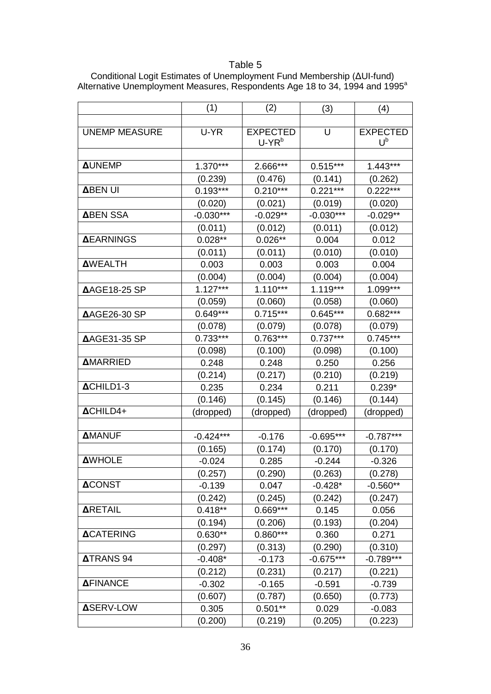## Table 5

|                      | (1)         | (2)             | (3)         | (4)             |
|----------------------|-------------|-----------------|-------------|-----------------|
|                      |             |                 |             |                 |
| <b>UNEMP MEASURE</b> | U-YR        | <b>EXPECTED</b> | U           | <b>EXPECTED</b> |
|                      |             | $U-YR^b$        |             | $U^b$           |
| <b>AUNEMP</b>        |             |                 |             |                 |
|                      | $1.370***$  | 2.666***        | $0.515***$  | $1.443***$      |
|                      | (0.239)     | (0.476)         | (0.141)     | (0.262)         |
| <b>ABEN UI</b>       | $0.193***$  | $0.210***$      | $0.221***$  | $0.222***$      |
|                      | (0.020)     | (0.021)         | (0.019)     | (0.020)         |
| <b>ABEN SSA</b>      | $-0.030***$ | $-0.029**$      | $-0.030***$ | $-0.029**$      |
|                      | (0.011)     | (0.012)         | (0.011)     | (0.012)         |
| <b>AEARNINGS</b>     | $0.028**$   | $0.026**$       | 0.004       | 0.012           |
|                      | (0.011)     | (0.011)         | (0.010)     | (0.010)         |
| <b>AWEALTH</b>       | 0.003       | 0.003           | 0.003       | 0.004           |
|                      | (0.004)     | (0.004)         | (0.004)     | (0.004)         |
| <b>∆AGE18-25 SP</b>  | $1.127***$  | $1.110***$      | $1.119***$  | 1.099***        |
|                      | (0.059)     | (0.060)         | (0.058)     | (0.060)         |
| <b>∆AGE26-30 SP</b>  | $0.649***$  | $0.715***$      | $0.645***$  | $0.682***$      |
|                      | (0.078)     | (0.079)         | (0.078)     | (0.079)         |
| <b>∆AGE31-35 SP</b>  | $0.733***$  | $0.763***$      | $0.737***$  | $0.745***$      |
|                      | (0.098)     | (0.100)         | (0.098)     | (0.100)         |
| <b>AMARRIED</b>      | 0.248       | 0.248           | 0.250       | 0.256           |
|                      | (0.214)     | (0.217)         | (0.210)     | (0.219)         |
| ACHILD1-3            | 0.235       | 0.234           | 0.211       | $0.239*$        |
|                      | (0.146)     | (0.145)         | (0.146)     | (0.144)         |
| ACHILD4+             | (dropped)   | (dropped)       | (dropped)   | (dropped)       |
|                      |             |                 |             |                 |
| <b>AMANUF</b>        | $-0.424***$ | $-0.176$        | $-0.695***$ | $-0.787***$     |
|                      | (0.165)     | (0.174)         | (0.170)     | (0.170)         |
| <b>AWHOLE</b>        | $-0.024$    | 0.285           | $-0.244$    | $-0.326$        |
|                      | (0.257)     | (0.290)         | (0.263)     | (0.278)         |
| <b>ACONST</b>        | $-0.139$    | 0.047           | $-0.428*$   | $-0.560**$      |
|                      | (0.242)     | (0.245)         | (0.242)     | (0.247)         |
| <b>ARETAIL</b>       | $0.418**$   | 0.669***        | 0.145       | 0.056           |
|                      | (0.194)     | (0.206)         | (0.193)     | (0.204)         |
| <b>ACATERING</b>     | $0.630**$   | $0.860***$      | 0.360       | 0.271           |
|                      | (0.297)     | (0.313)         | (0.290)     | (0.310)         |
| <b>ATRANS 94</b>     | $-0.408*$   | $-0.173$        | $-0.675***$ | $-0.789***$     |
|                      | (0.212)     | (0.231)         | (0.217)     | (0.221)         |
| <b>AFINANCE</b>      | $-0.302$    | $-0.165$        | $-0.591$    | $-0.739$        |
|                      | (0.607)     | (0.787)         | (0.650)     | (0.773)         |
| <b>ASERV-LOW</b>     | 0.305       | $0.501***$      | 0.029       | $-0.083$        |
|                      | (0.200)     | (0.219)         | (0.205)     | (0.223)         |

Conditional Logit Estimates of Unemployment Fund Membership (ΔUI-fund) Alternative Unemployment Measures, Respondents Age 18 to 34, 1994 and 1995 $^{\circ}$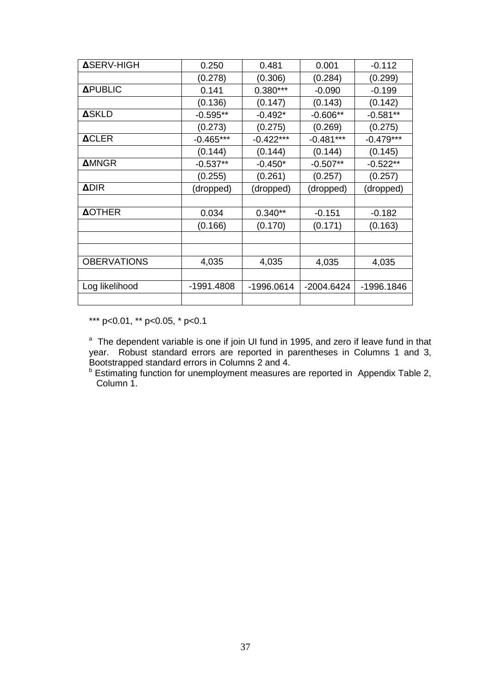| <b>ASERV-HIGH</b>  | 0.250       | 0.481       | 0.001       | $-0.112$    |
|--------------------|-------------|-------------|-------------|-------------|
|                    | (0.278)     | (0.306)     | (0.284)     | (0.299)     |
| <b>APUBLIC</b>     | 0.141       | $0.380***$  | $-0.090$    | $-0.199$    |
|                    | (0.136)     | (0.147)     | (0.143)     | (0.142)     |
| <b>ASKLD</b>       | $-0.595**$  | $-0.492*$   | $-0.606**$  | $-0.581**$  |
|                    | (0.273)     | (0.275)     | (0.269)     | (0.275)     |
| <b>ACLER</b>       | $-0.465***$ | $-0.422***$ | $-0.481***$ | $-0.479***$ |
|                    | (0.144)     | (0.144)     | (0.144)     | (0.145)     |
| <b>AMNGR</b>       | $-0.537**$  | $-0.450*$   | $-0.507**$  | $-0.522**$  |
|                    | (0.255)     | (0.261)     | (0.257)     | (0.257)     |
| <b>ADIR</b>        | (dropped)   | (dropped)   | (dropped)   | (dropped)   |
|                    |             |             |             |             |
| <b>AOTHER</b>      | 0.034       | $0.340**$   | $-0.151$    | $-0.182$    |
|                    | (0.166)     | (0.170)     | (0.171)     | (0.163)     |
|                    |             |             |             |             |
|                    |             |             |             |             |
| <b>OBERVATIONS</b> | 4,035       | 4,035       | 4,035       | 4,035       |
|                    |             |             |             |             |
| Log likelihood     | -1991.4808  | -1996.0614  | -2004.6424  | -1996.1846  |
|                    |             |             |             |             |

\*\*\* p<0.01, \*\* p<0.05, \* p<0.1

<sup>a</sup> The dependent variable is one if join UI fund in 1995, and zero if leave fund in that year. Robust standard errors are reported in parentheses in Columns 1 and 3, Bootstrapped standard errors in Columns 2 and 4.

<sup>b</sup> Estimating function for unemployment measures are reported in Appendix Table 2, Column 1.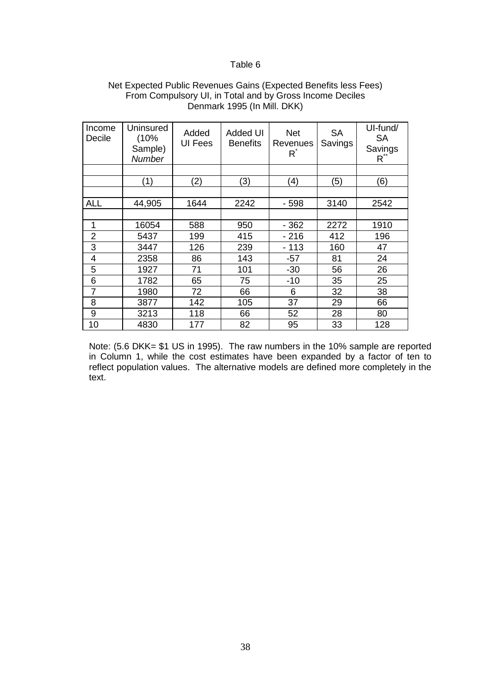#### Table 6

| Income<br>Decile | Uninsured<br>(10%<br>Sample)<br><b>Number</b> | Added<br><b>UI Fees</b> | <b>Added UI</b><br><b>Benefits</b> | <b>Net</b><br>Revenues<br>$R^*$ | <b>SA</b><br>Savings | UI-fund/<br><b>SA</b><br>Savings<br>$R^2$ |
|------------------|-----------------------------------------------|-------------------------|------------------------------------|---------------------------------|----------------------|-------------------------------------------|
|                  |                                               |                         |                                    |                                 |                      |                                           |
|                  | (1)                                           | (2)                     | (3)                                | (4)                             | (5)                  | (6)                                       |
|                  |                                               |                         |                                    |                                 |                      |                                           |
| <b>ALL</b>       | 44,905                                        | 1644                    | 2242                               | $-598$                          | 3140                 | 2542                                      |
|                  |                                               |                         |                                    |                                 |                      |                                           |
| 1                | 16054                                         | 588                     | 950                                | $-362$                          | 2272                 | 1910                                      |
| 2                | 5437                                          | 199                     | 415                                | $-216$                          | 412                  | 196                                       |
| 3                | 3447                                          | 126                     | 239                                | $-113$                          | 160                  | 47                                        |
| 4                | 2358                                          | 86                      | 143                                | $-57$                           | 81                   | 24                                        |
| 5                | 1927                                          | 71                      | 101                                | $-30$                           | 56                   | 26                                        |
| 6                | 1782                                          | 65                      | 75                                 | $-10$                           | 35                   | 25                                        |
| $\overline{7}$   | 1980                                          | 72                      | 66                                 | 6                               | 32                   | 38                                        |
| 8                | 3877                                          | 142                     | 105                                | 37                              | 29                   | 66                                        |
| 9                | 3213                                          | 118                     | 66                                 | 52                              | 28                   | 80                                        |
| 10               | 4830                                          | 177                     | 82                                 | 95                              | 33                   | 128                                       |

#### Net Expected Public Revenues Gains (Expected Benefits less Fees) From Compulsory UI, in Total and by Gross Income Deciles Denmark 1995 (In Mill. DKK)

Note: (5.6 DKK= \$1 US in 1995). The raw numbers in the 10% sample are reported in Column 1, while the cost estimates have been expanded by a factor of ten to reflect population values. The alternative models are defined more completely in the text.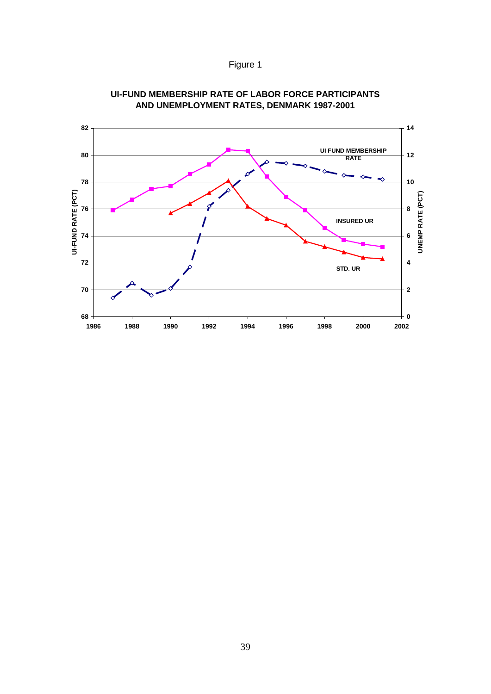Figure 1



#### **UI-FUND MEMBERSHIP RATE OF LABOR FORCE PARTICIPANTS AND UNEMPLOYMENT RATES, DENMARK 1987-2001**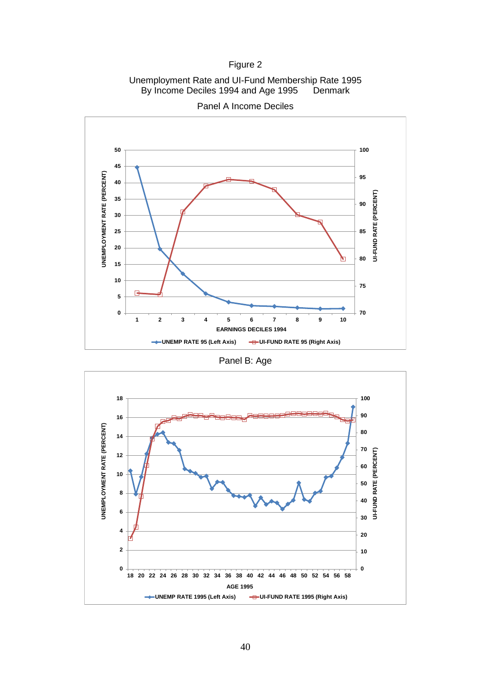### Figure 2

Unemployment Rate and UI-Fund Membership Rate 1995 By Income Deciles 1994 and Age 1995 Denmark



Panel A Income Deciles

Panel B: Age

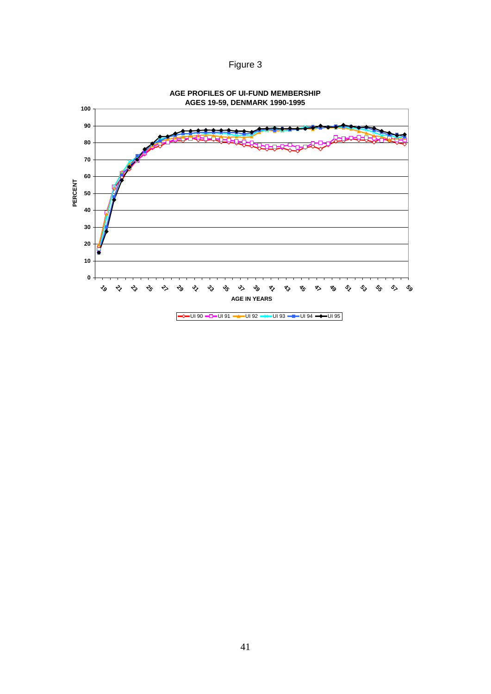Figure 3

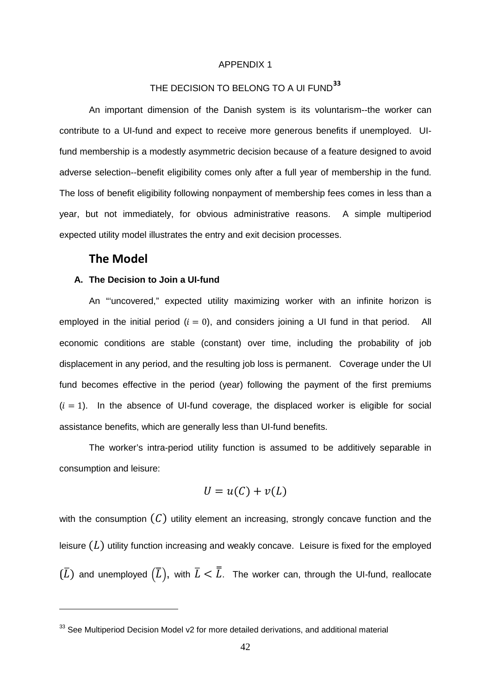#### APPENDIX 1

### THE DECISION TO BELONG TO A UI FUND**[33](#page-44-0)**

An important dimension of the Danish system is its voluntarism--the worker can contribute to a UI-fund and expect to receive more generous benefits if unemployed. UIfund membership is a modestly asymmetric decision because of a feature designed to avoid adverse selection--benefit eligibility comes only after a full year of membership in the fund. The loss of benefit eligibility following nonpayment of membership fees comes in less than a year, but not immediately, for obvious administrative reasons. A simple multiperiod expected utility model illustrates the entry and exit decision processes.

#### **The Model**

-

#### **A. The Decision to Join a UI-fund**

An "'uncovered," expected utility maximizing worker with an infinite horizon is employed in the initial period  $(i = 0)$ , and considers joining a UI fund in that period. All economic conditions are stable (constant) over time, including the probability of job displacement in any period, and the resulting job loss is permanent. Coverage under the UI fund becomes effective in the period (year) following the payment of the first premiums  $(i = 1)$ . In the absence of UI-fund coverage, the displaced worker is eligible for social assistance benefits, which are generally less than UI-fund benefits.

The worker's intra-period utility function is assumed to be additively separable in consumption and leisure:

$$
U = u(C) + v(L)
$$

with the consumption  $(C)$  utility element an increasing, strongly concave function and the leisure  $(L)$  utility function increasing and weakly concave. Leisure is fixed for the employed  $(L)$  and unemployed  $(L)$ , with  $L < L$ . The worker can, through the UI-fund, reallocate

<span id="page-44-0"></span><sup>&</sup>lt;sup>33</sup> See Multiperiod Decision Model v2 for more detailed derivations, and additional material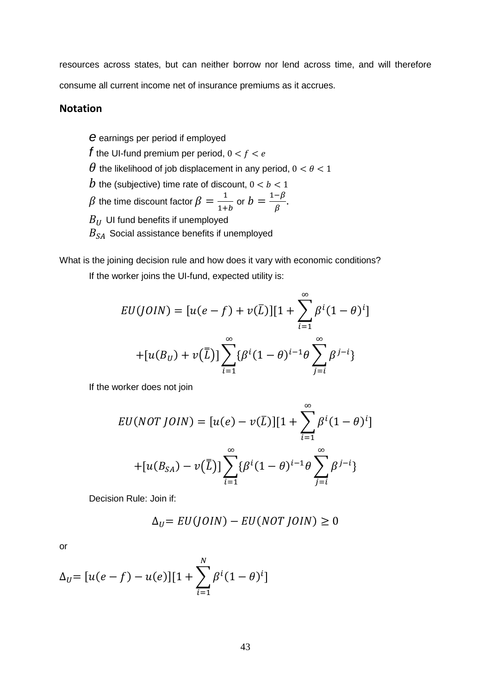resources across states, but can neither borrow nor lend across time, and will therefore consume all current income net of insurance premiums as it accrues.

### **Notation**

*e* earnings per period if employed *f* the UI-fund premium per period,  $0 < f < e$  $\theta$  the likelihood of job displacement in any period,  $0 < \theta < 1$ b the (subjective) time rate of discount,  $0 < b < 1$  $\beta$  the time discount factor  $\beta = \frac{1}{1+b}$  or  $b = \frac{1-\beta}{\beta}$ .  $B_{IJ}$  UI fund benefits if unemployed  $B_{SA}$  Social assistance benefits if unemployed

What is the joining decision rule and how does it vary with economic conditions? If the worker joins the UI-fund, expected utility is:

$$
EU(J0IN) = [u(e - f) + v(\bar{L})][1 + \sum_{i=1}^{\infty} \beta^{i}(1 - \theta)^{i}]
$$
  
+ 
$$
[u(B_{U}) + v(\bar{L})] \sum_{i=1}^{\infty} {\beta^{i}(1 - \theta)^{i-1}\theta} \sum_{j=i}^{\infty} \beta^{j-i}
$$

If the worker does not join

$$
EU(NOT\ J OIN) = [u(e) - v(\bar{L})][1 + \sum_{i=1}^{\infty} \beta^{i}(1 - \theta)^{i}]
$$

$$
+ [u(B_{SA}) - v(\bar{L})] \sum_{i=1}^{\infty} {\beta^{i}(1 - \theta)^{i-1}\theta} \sum_{j=i}^{\infty} \beta^{j-i}
$$

Decision Rule: Join if:

$$
\Delta_U = EU(JOIN) - EU(NOTJOIN) \ge 0
$$

or

$$
\Delta_U = [u(e - f) - u(e)][1 + \sum_{i=1}^{N} \beta^{i}(1 - \theta)^{i}]
$$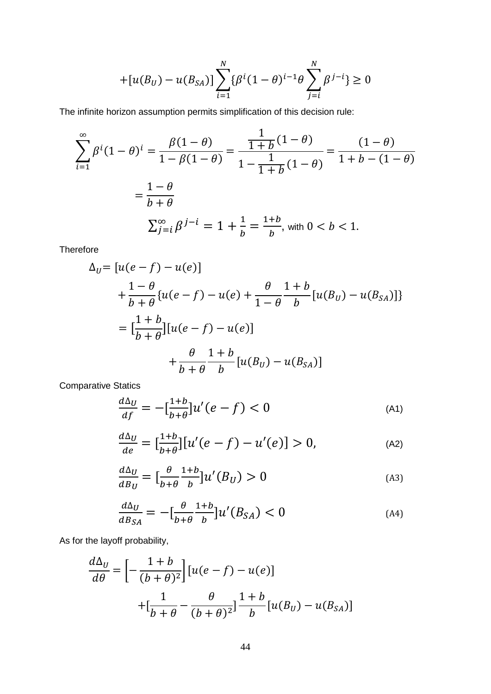$$
+[u(B_U) - u(B_{SA})] \sum_{i=1}^{N} {\{\beta^{i}(1-\theta)^{i-1}\theta \sum_{j=i}^{N} \beta^{j-i}\}} \ge 0
$$

The infinite horizon assumption permits simplification of this decision rule:

$$
\sum_{i=1}^{\infty} \beta^{i} (1 - \theta)^{i} = \frac{\beta (1 - \theta)}{1 - \beta (1 - \theta)} = \frac{\frac{1}{1 + b} (1 - \theta)}{1 - \frac{1}{1 + b} (1 - \theta)} = \frac{(1 - \theta)}{1 + b - (1 - \theta)}
$$

$$
= \frac{1 - \theta}{b + \theta}
$$

$$
\sum_{j=1}^{\infty} \beta^{j - i} = 1 + \frac{1}{b} = \frac{1 + b}{b}, \text{ with } 0 < b < 1.
$$

**Therefore** 

$$
\Delta_{U} = [u(e - f) - u(e)] \n+ \frac{1 - \theta}{b + \theta} \{u(e - f) - u(e) + \frac{\theta}{1 - \theta} \frac{1 + b}{b} [u(B_{U}) - u(B_{SA})]\} \n= \left[\frac{1 + b}{b + \theta}\right] [u(e - f) - u(e)] \n+ \frac{\theta}{b + \theta} \frac{1 + b}{b} [u(B_{U}) - u(B_{SA})]
$$

Comparative Statics

$$
\frac{d\Delta_U}{df} = -\left[\frac{1+b}{b+\theta}\right]u'(e-f) < 0\tag{A1}
$$

$$
\frac{d\Delta_U}{de} = \left[\frac{1+b}{b+\theta}\right] \left[u'(e-f) - u'(e)\right] > 0,\tag{A2}
$$

$$
\frac{d\Delta_U}{dB_U} = \left[\frac{\theta}{b+\theta} \frac{1+b}{b}\right] u'(B_U) > 0
$$
\n(A3)

$$
\frac{d\Delta_U}{dB_{SA}} = -\left[\frac{\theta}{b+\theta} \frac{1+b}{b}\right] u'(B_{SA}) < 0 \tag{A4}
$$

As for the layoff probability,

$$
\frac{d\Delta_U}{d\theta} = \left[ -\frac{1+b}{(b+\theta)^2} \right] \left[ u(e-f) - u(e) \right]
$$

$$
+ \left[ \frac{1}{b+\theta} - \frac{\theta}{(b+\theta)^2} \right] \frac{1+b}{b} \left[ u(B_U) - u(B_{SA}) \right]
$$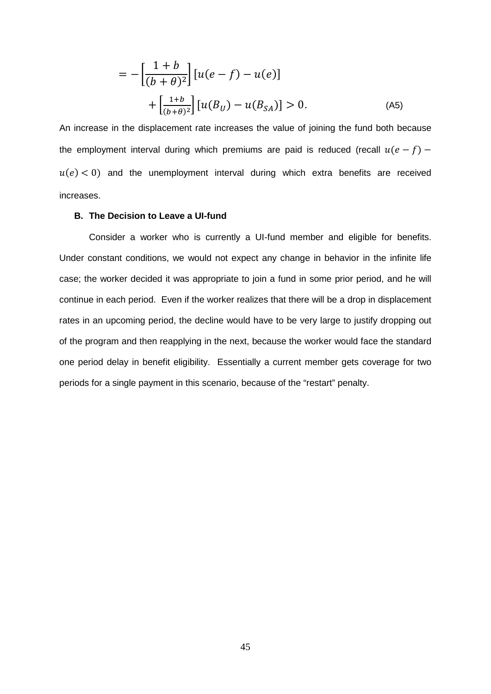$$
= -\left[\frac{1+b}{(b+\theta)^2}\right] [u(e-f) - u(e)] + \left[\frac{1+b}{(b+\theta)^2}\right] [u(B_U) - u(B_{SA})] > 0.
$$
 (A5)

An increase in the displacement rate increases the value of joining the fund both because the employment interval during which premiums are paid is reduced (recall  $u(e - f)$  –  $u(e) < 0$ ) and the unemployment interval during which extra benefits are received increases.

#### **B. The Decision to Leave a UI-fund**

Consider a worker who is currently a UI-fund member and eligible for benefits. Under constant conditions, we would not expect any change in behavior in the infinite life case; the worker decided it was appropriate to join a fund in some prior period, and he will continue in each period. Even if the worker realizes that there will be a drop in displacement rates in an upcoming period, the decline would have to be very large to justify dropping out of the program and then reapplying in the next, because the worker would face the standard one period delay in benefit eligibility. Essentially a current member gets coverage for two periods for a single payment in this scenario, because of the "restart" penalty.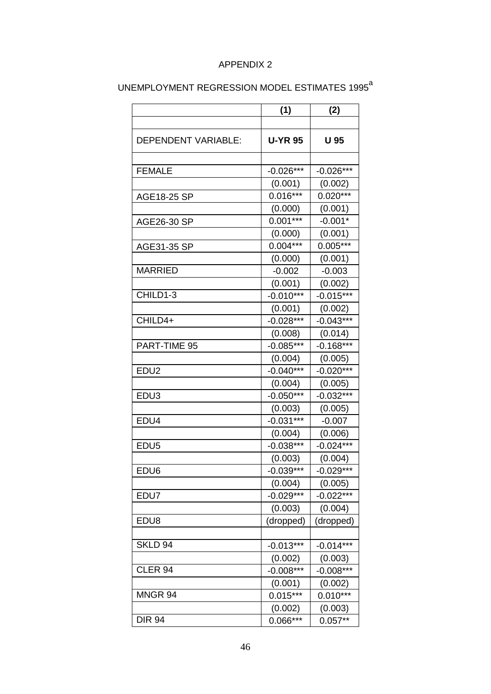## APPENDIX 2

|                     | (1)            | (2)         |
|---------------------|----------------|-------------|
|                     |                |             |
| DEPENDENT VARIABLE: | <b>U-YR 95</b> | U 95        |
|                     |                |             |
| <b>FEMALE</b>       | $-0.026***$    | $-0.026***$ |
|                     | (0.001)        | (0.002)     |
| AGE18-25 SP         | $0.016***$     | $0.020***$  |
|                     | (0.000)        | (0.001)     |
| AGE26-30 SP         | $0.001***$     | $-0.001*$   |
|                     | (0.000)        | (0.001)     |
| AGE31-35 SP         | $0.004***$     | $0.005***$  |
|                     | (0.000)        | (0.001)     |
| <b>MARRIED</b>      | $-0.002$       | $-0.003$    |
|                     | (0.001)        | (0.002)     |
| CHILD1-3            | $-0.010***$    | $-0.015***$ |
|                     | (0.001)        | (0.002)     |
| CHILD4+             | $-0.028***$    | $-0.043***$ |
|                     | (0.008)        | (0.014)     |
| PART-TIME 95        | $-0.085***$    | $-0.168***$ |
|                     | (0.004)        | (0.005)     |
| EDU <sub>2</sub>    | $-0.040***$    | $-0.020***$ |
|                     | (0.004)        | (0.005)     |
| EDU <sub>3</sub>    | $-0.050***$    | $-0.032***$ |
|                     | (0.003)        | (0.005)     |
| EDU4                | $-0.031***$    | $-0.007$    |
|                     | (0.004)        | (0.006)     |
| EDU <sub>5</sub>    | $-0.038***$    | $-0.024***$ |
|                     | (0.003)        | (0.004)     |
| EDU <sub>6</sub>    | $-0.039***$    | $-0.029***$ |
|                     | (0.004)        | (0.005)     |
| EDU7                | $-0.029***$    | $-0.022***$ |
|                     | (0.003)        | (0.004)     |
| EDU8                | (dropped)      | (dropped)   |
|                     |                |             |
| SKLD 94             | $-0.013***$    | $-0.014***$ |
|                     | (0.002)        | (0.003)     |
| CLER <sub>94</sub>  | $-0.008***$    | $-0.008***$ |
|                     | (0.001)        | (0.002)     |
| MNGR 94             | $0.015***$     | $0.010***$  |
|                     | (0.002)        | (0.003)     |
| <b>DIR 94</b>       | $0.066***$     | $0.057**$   |

## UNEMPLOYMENT REGRESSION MODEL ESTIMATES 1995<sup>a</sup>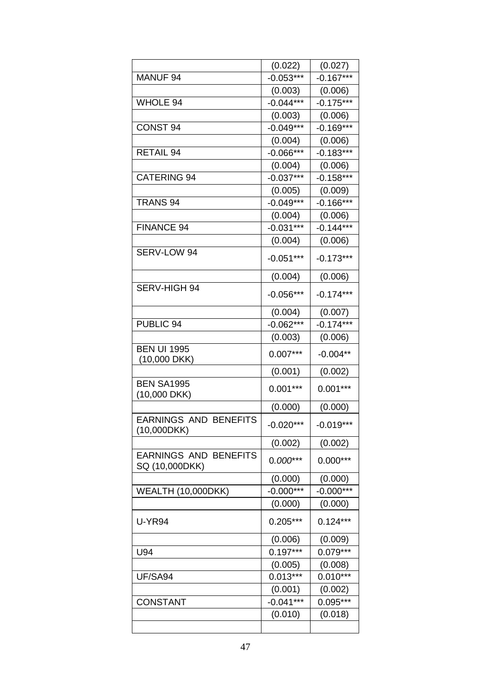|                                                | (0.022)     | (0.027)     |
|------------------------------------------------|-------------|-------------|
| MANUF <sub>94</sub>                            | $-0.053***$ | $-0.167***$ |
|                                                | (0.003)     | (0.006)     |
| <b>WHOLE 94</b>                                | $-0.044***$ | $-0.175***$ |
|                                                | (0.003)     | (0.006)     |
| <b>CONST 94</b>                                | $-0.049***$ | $-0.169***$ |
|                                                | (0.004)     | (0.006)     |
| <b>RETAIL 94</b>                               | $-0.066***$ | $-0.183***$ |
|                                                | (0.004)     | (0.006)     |
| <b>CATERING 94</b>                             | $-0.037***$ | $-0.158***$ |
|                                                | (0.005)     | (0.009)     |
| TRANS <sub>94</sub>                            | $-0.049***$ | $-0.166***$ |
|                                                | (0.004)     | (0.006)     |
| FINANCE 94                                     | $-0.031***$ | $-0.144***$ |
|                                                | (0.004)     | (0.006)     |
| SERV-LOW 94                                    | $-0.051***$ | $-0.173***$ |
|                                                | (0.004)     | (0.006)     |
| SERV-HIGH 94                                   | $-0.056***$ | $-0.174***$ |
|                                                | (0.004)     | (0.007)     |
| PUBLIC 94                                      | $-0.062***$ | $-0.174***$ |
|                                                | (0.003)     | (0.006)     |
| <b>BEN UI 1995</b><br>$(10,000$ DKK)           | $0.007***$  | $-0.004**$  |
|                                                | (0.001)     | (0.002)     |
| <b>BEN SA1995</b>                              | $0.001***$  | $0.001***$  |
| (10,000 DKK)                                   |             |             |
|                                                | (0.000)     | (0.000)     |
| <b>EARNINGS AND BENEFITS</b><br>(10,000DKK)    | $-0.020***$ | $-0.019***$ |
|                                                | (0.002)     | (0.002)     |
| <b>EARNINGS AND BENEFITS</b><br>SQ (10,000DKK) | $0.000***$  | $0.000***$  |
|                                                | (0.000)     | (0.000)     |
| <b>WEALTH (10,000DKK)</b>                      | $-0.000***$ | $-0.000***$ |
|                                                | (0.000)     | (0.000)     |
| <b>U-YR94</b>                                  | $0.205***$  | $0.124***$  |
|                                                | (0.006)     | (0.009)     |
| U94                                            | $0.197***$  | $0.079***$  |
|                                                | (0.005)     | (0.008)     |
| UF/SA94                                        | $0.013***$  | $0.010***$  |
|                                                | (0.001)     | (0.002)     |
| <b>CONSTANT</b>                                | $-0.041***$ | 0.095***    |
|                                                | (0.010)     | (0.018)     |
|                                                |             |             |